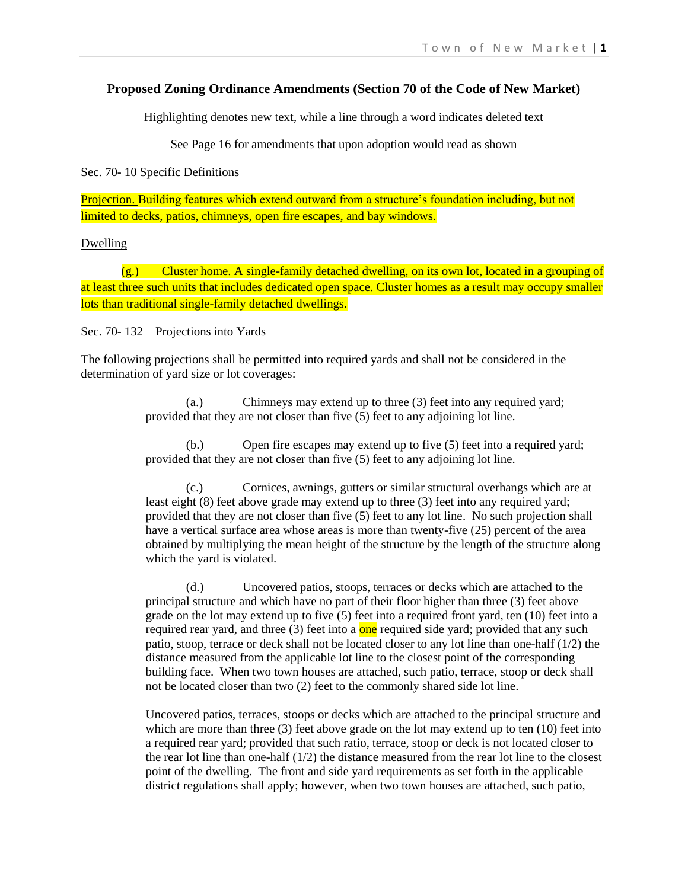## **Proposed Zoning Ordinance Amendments (Section 70 of the Code of New Market)**

Highlighting denotes new text, while a line through a word indicates deleted text

See Page 16 for amendments that upon adoption would read as shown

Sec. 70- 10 Specific Definitions

Projection. Building features which extend outward from a structure's foundation including, but not limited to decks, patios, chimneys, open fire escapes, and bay windows.

### Dwelling

(g.) Cluster home. A single-family detached dwelling, on its own lot, located in a grouping of at least three such units that includes dedicated open space. Cluster homes as a result may occupy smaller lots than traditional single-family detached dwellings.

### Sec. 70- 132 Projections into Yards

The following projections shall be permitted into required yards and shall not be considered in the determination of yard size or lot coverages:

> (a.) Chimneys may extend up to three (3) feet into any required yard; provided that they are not closer than five (5) feet to any adjoining lot line.

(b.) Open fire escapes may extend up to five (5) feet into a required yard; provided that they are not closer than five (5) feet to any adjoining lot line.

(c.) Cornices, awnings, gutters or similar structural overhangs which are at least eight (8) feet above grade may extend up to three (3) feet into any required yard; provided that they are not closer than five (5) feet to any lot line. No such projection shall have a vertical surface area whose areas is more than twenty-five (25) percent of the area obtained by multiplying the mean height of the structure by the length of the structure along which the yard is violated.

(d.) Uncovered patios, stoops, terraces or decks which are attached to the principal structure and which have no part of their floor higher than three (3) feet above grade on the lot may extend up to five (5) feet into a required front yard, ten (10) feet into a required rear yard, and three  $(3)$  feet into  $a$  one required side yard; provided that any such patio, stoop, terrace or deck shall not be located closer to any lot line than one-half (1/2) the distance measured from the applicable lot line to the closest point of the corresponding building face. When two town houses are attached, such patio, terrace, stoop or deck shall not be located closer than two (2) feet to the commonly shared side lot line.

Uncovered patios, terraces, stoops or decks which are attached to the principal structure and which are more than three (3) feet above grade on the lot may extend up to ten (10) feet into a required rear yard; provided that such ratio, terrace, stoop or deck is not located closer to the rear lot line than one-half (1/2) the distance measured from the rear lot line to the closest point of the dwelling. The front and side yard requirements as set forth in the applicable district regulations shall apply; however, when two town houses are attached, such patio,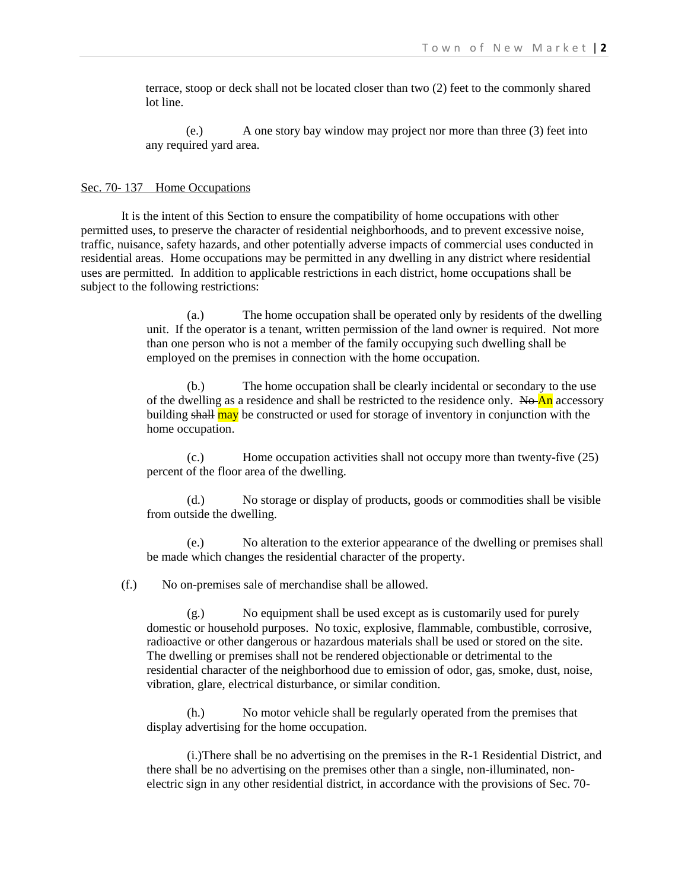terrace, stoop or deck shall not be located closer than two (2) feet to the commonly shared lot line.

(e.) A one story bay window may project nor more than three (3) feet into any required yard area.

#### Sec. 70- 137 Home Occupations

It is the intent of this Section to ensure the compatibility of home occupations with other permitted uses, to preserve the character of residential neighborhoods, and to prevent excessive noise, traffic, nuisance, safety hazards, and other potentially adverse impacts of commercial uses conducted in residential areas. Home occupations may be permitted in any dwelling in any district where residential uses are permitted. In addition to applicable restrictions in each district, home occupations shall be subject to the following restrictions:

> (a.) The home occupation shall be operated only by residents of the dwelling unit. If the operator is a tenant, written permission of the land owner is required. Not more than one person who is not a member of the family occupying such dwelling shall be employed on the premises in connection with the home occupation.

> (b.) The home occupation shall be clearly incidental or secondary to the use of the dwelling as a residence and shall be restricted to the residence only. No An accessory building shall may be constructed or used for storage of inventory in conjunction with the home occupation.

> (c.) Home occupation activities shall not occupy more than twenty-five (25) percent of the floor area of the dwelling.

> (d.) No storage or display of products, goods or commodities shall be visible from outside the dwelling.

> (e.) No alteration to the exterior appearance of the dwelling or premises shall be made which changes the residential character of the property.

(f.) No on-premises sale of merchandise shall be allowed.

(g.) No equipment shall be used except as is customarily used for purely domestic or household purposes. No toxic, explosive, flammable, combustible, corrosive, radioactive or other dangerous or hazardous materials shall be used or stored on the site. The dwelling or premises shall not be rendered objectionable or detrimental to the residential character of the neighborhood due to emission of odor, gas, smoke, dust, noise, vibration, glare, electrical disturbance, or similar condition.

(h.) No motor vehicle shall be regularly operated from the premises that display advertising for the home occupation.

(i.)There shall be no advertising on the premises in the R-1 Residential District, and there shall be no advertising on the premises other than a single, non-illuminated, nonelectric sign in any other residential district, in accordance with the provisions of Sec. 70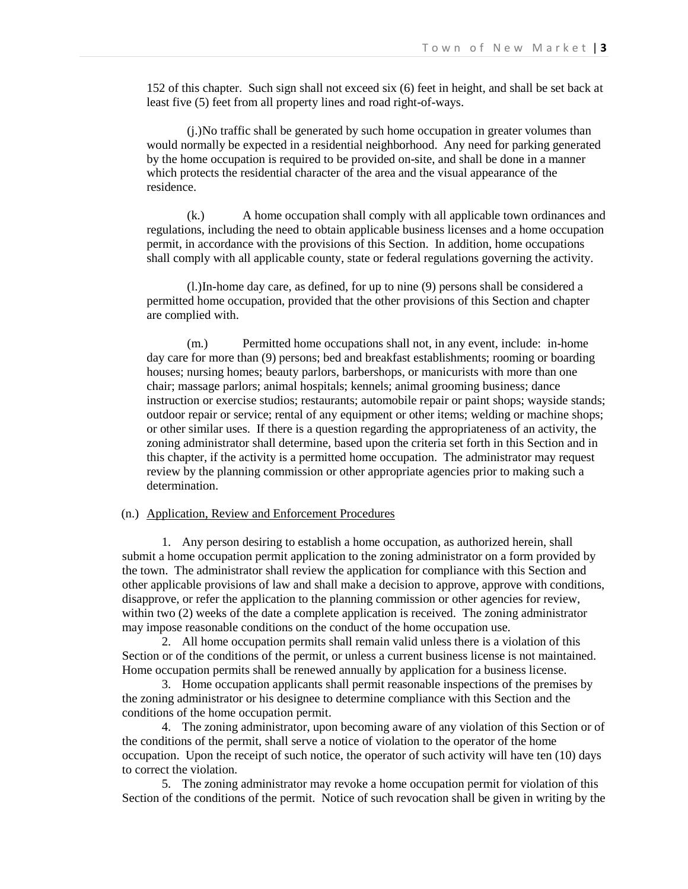152 of this chapter. Such sign shall not exceed six (6) feet in height, and shall be set back at least five (5) feet from all property lines and road right-of-ways.

(j.)No traffic shall be generated by such home occupation in greater volumes than would normally be expected in a residential neighborhood. Any need for parking generated by the home occupation is required to be provided on-site, and shall be done in a manner which protects the residential character of the area and the visual appearance of the residence.

(k.) A home occupation shall comply with all applicable town ordinances and regulations, including the need to obtain applicable business licenses and a home occupation permit, in accordance with the provisions of this Section. In addition, home occupations shall comply with all applicable county, state or federal regulations governing the activity.

(l.)In-home day care, as defined, for up to nine (9) persons shall be considered a permitted home occupation, provided that the other provisions of this Section and chapter are complied with.

(m.) Permitted home occupations shall not, in any event, include: in-home day care for more than (9) persons; bed and breakfast establishments; rooming or boarding houses; nursing homes; beauty parlors, barbershops, or manicurists with more than one chair; massage parlors; animal hospitals; kennels; animal grooming business; dance instruction or exercise studios; restaurants; automobile repair or paint shops; wayside stands; outdoor repair or service; rental of any equipment or other items; welding or machine shops; or other similar uses. If there is a question regarding the appropriateness of an activity, the zoning administrator shall determine, based upon the criteria set forth in this Section and in this chapter, if the activity is a permitted home occupation. The administrator may request review by the planning commission or other appropriate agencies prior to making such a determination.

## (n.) Application, Review and Enforcement Procedures

1. Any person desiring to establish a home occupation, as authorized herein, shall submit a home occupation permit application to the zoning administrator on a form provided by the town. The administrator shall review the application for compliance with this Section and other applicable provisions of law and shall make a decision to approve, approve with conditions, disapprove, or refer the application to the planning commission or other agencies for review, within two (2) weeks of the date a complete application is received. The zoning administrator may impose reasonable conditions on the conduct of the home occupation use.

2. All home occupation permits shall remain valid unless there is a violation of this Section or of the conditions of the permit, or unless a current business license is not maintained. Home occupation permits shall be renewed annually by application for a business license.

3. Home occupation applicants shall permit reasonable inspections of the premises by the zoning administrator or his designee to determine compliance with this Section and the conditions of the home occupation permit.

4. The zoning administrator, upon becoming aware of any violation of this Section or of the conditions of the permit, shall serve a notice of violation to the operator of the home occupation. Upon the receipt of such notice, the operator of such activity will have ten (10) days to correct the violation.

5. The zoning administrator may revoke a home occupation permit for violation of this Section of the conditions of the permit. Notice of such revocation shall be given in writing by the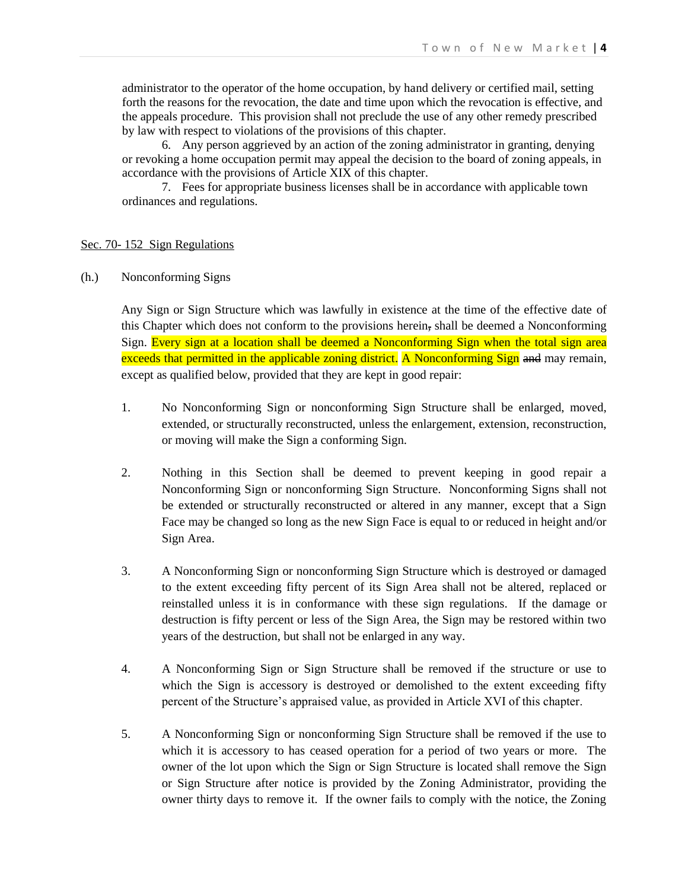administrator to the operator of the home occupation, by hand delivery or certified mail, setting forth the reasons for the revocation, the date and time upon which the revocation is effective, and the appeals procedure. This provision shall not preclude the use of any other remedy prescribed by law with respect to violations of the provisions of this chapter.

6. Any person aggrieved by an action of the zoning administrator in granting, denying or revoking a home occupation permit may appeal the decision to the board of zoning appeals, in accordance with the provisions of Article XIX of this chapter.

7. Fees for appropriate business licenses shall be in accordance with applicable town ordinances and regulations.

#### Sec. 70- 152 Sign Regulations

(h.) Nonconforming Signs

Any Sign or Sign Structure which was lawfully in existence at the time of the effective date of this Chapter which does not conform to the provisions herein, shall be deemed a Nonconforming Sign. Every sign at a location shall be deemed a Nonconforming Sign when the total sign area exceeds that permitted in the applicable zoning district. A Nonconforming Sign and may remain, except as qualified below, provided that they are kept in good repair:

- 1. No Nonconforming Sign or nonconforming Sign Structure shall be enlarged, moved, extended, or structurally reconstructed, unless the enlargement, extension, reconstruction, or moving will make the Sign a conforming Sign.
- 2. Nothing in this Section shall be deemed to prevent keeping in good repair a Nonconforming Sign or nonconforming Sign Structure. Nonconforming Signs shall not be extended or structurally reconstructed or altered in any manner, except that a Sign Face may be changed so long as the new Sign Face is equal to or reduced in height and/or Sign Area.
- 3. A Nonconforming Sign or nonconforming Sign Structure which is destroyed or damaged to the extent exceeding fifty percent of its Sign Area shall not be altered, replaced or reinstalled unless it is in conformance with these sign regulations. If the damage or destruction is fifty percent or less of the Sign Area, the Sign may be restored within two years of the destruction, but shall not be enlarged in any way.
- 4. A Nonconforming Sign or Sign Structure shall be removed if the structure or use to which the Sign is accessory is destroyed or demolished to the extent exceeding fifty percent of the Structure's appraised value, as provided in Article XVI of this chapter.
- 5. A Nonconforming Sign or nonconforming Sign Structure shall be removed if the use to which it is accessory to has ceased operation for a period of two years or more. The owner of the lot upon which the Sign or Sign Structure is located shall remove the Sign or Sign Structure after notice is provided by the Zoning Administrator, providing the owner thirty days to remove it. If the owner fails to comply with the notice, the Zoning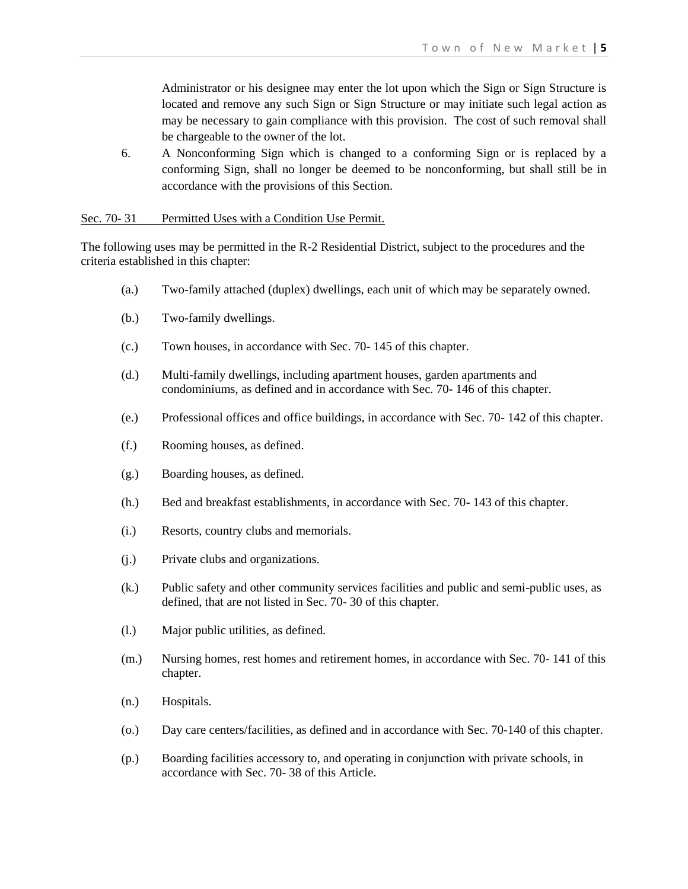Administrator or his designee may enter the lot upon which the Sign or Sign Structure is located and remove any such Sign or Sign Structure or may initiate such legal action as may be necessary to gain compliance with this provision. The cost of such removal shall be chargeable to the owner of the lot.

6. A Nonconforming Sign which is changed to a conforming Sign or is replaced by a conforming Sign, shall no longer be deemed to be nonconforming, but shall still be in accordance with the provisions of this Section.

#### Sec. 70-31 Permitted Uses with a Condition Use Permit.

The following uses may be permitted in the R-2 Residential District, subject to the procedures and the criteria established in this chapter:

- (a.) Two-family attached (duplex) dwellings, each unit of which may be separately owned.
- (b.) Two-family dwellings.
- (c.) Town houses, in accordance with Sec. 70- 145 of this chapter.
- (d.) Multi-family dwellings, including apartment houses, garden apartments and condominiums, as defined and in accordance with Sec. 70- 146 of this chapter.
- (e.) Professional offices and office buildings, in accordance with Sec. 70- 142 of this chapter.
- (f.) Rooming houses, as defined.
- (g.) Boarding houses, as defined.
- (h.) Bed and breakfast establishments, in accordance with Sec. 70- 143 of this chapter.
- (i.) Resorts, country clubs and memorials.
- (j.) Private clubs and organizations.
- (k.) Public safety and other community services facilities and public and semi-public uses, as defined, that are not listed in Sec. 70- 30 of this chapter.
- (l.) Major public utilities, as defined.
- (m.) Nursing homes, rest homes and retirement homes, in accordance with Sec. 70- 141 of this chapter.
- (n.) Hospitals.
- (o.) Day care centers/facilities, as defined and in accordance with Sec. 70-140 of this chapter.
- (p.) Boarding facilities accessory to, and operating in conjunction with private schools, in accordance with Sec. 70- 38 of this Article.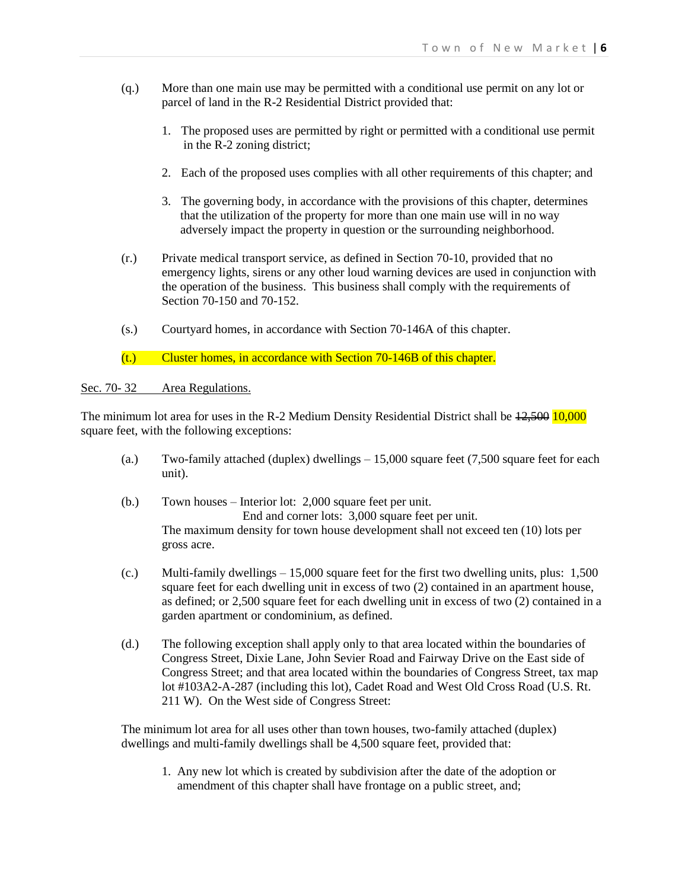- (q.) More than one main use may be permitted with a conditional use permit on any lot or parcel of land in the R-2 Residential District provided that:
	- 1. The proposed uses are permitted by right or permitted with a conditional use permit in the R-2 zoning district;
	- 2. Each of the proposed uses complies with all other requirements of this chapter; and
	- 3. The governing body, in accordance with the provisions of this chapter, determines that the utilization of the property for more than one main use will in no way adversely impact the property in question or the surrounding neighborhood.
- (r.) Private medical transport service, as defined in Section 70-10, provided that no emergency lights, sirens or any other loud warning devices are used in conjunction with the operation of the business. This business shall comply with the requirements of Section 70-150 and 70-152.
- (s.) Courtyard homes, in accordance with Section 70-146A of this chapter.
- (t.) Cluster homes, in accordance with Section 70-146B of this chapter.

Sec. 70-32 Area Regulations.

The minimum lot area for uses in the R-2 Medium Density Residential District shall be  $12,500$  10,000 square feet, with the following exceptions:

- (a.) Two-family attached (duplex) dwellings  $-15,000$  square feet (7,500 square feet for each unit).
- (b.) Town houses Interior lot: 2,000 square feet per unit. End and corner lots: 3,000 square feet per unit. The maximum density for town house development shall not exceed ten (10) lots per gross acre.
- (c.) Multi-family dwellings  $-15,000$  square feet for the first two dwelling units, plus:  $1,500$ square feet for each dwelling unit in excess of two (2) contained in an apartment house, as defined; or 2,500 square feet for each dwelling unit in excess of two (2) contained in a garden apartment or condominium, as defined.
- (d.) The following exception shall apply only to that area located within the boundaries of Congress Street, Dixie Lane, John Sevier Road and Fairway Drive on the East side of Congress Street; and that area located within the boundaries of Congress Street, tax map lot #103A2-A-287 (including this lot), Cadet Road and West Old Cross Road (U.S. Rt. 211 W). On the West side of Congress Street:

The minimum lot area for all uses other than town houses, two-family attached (duplex) dwellings and multi-family dwellings shall be 4,500 square feet, provided that:

1. Any new lot which is created by subdivision after the date of the adoption or amendment of this chapter shall have frontage on a public street, and;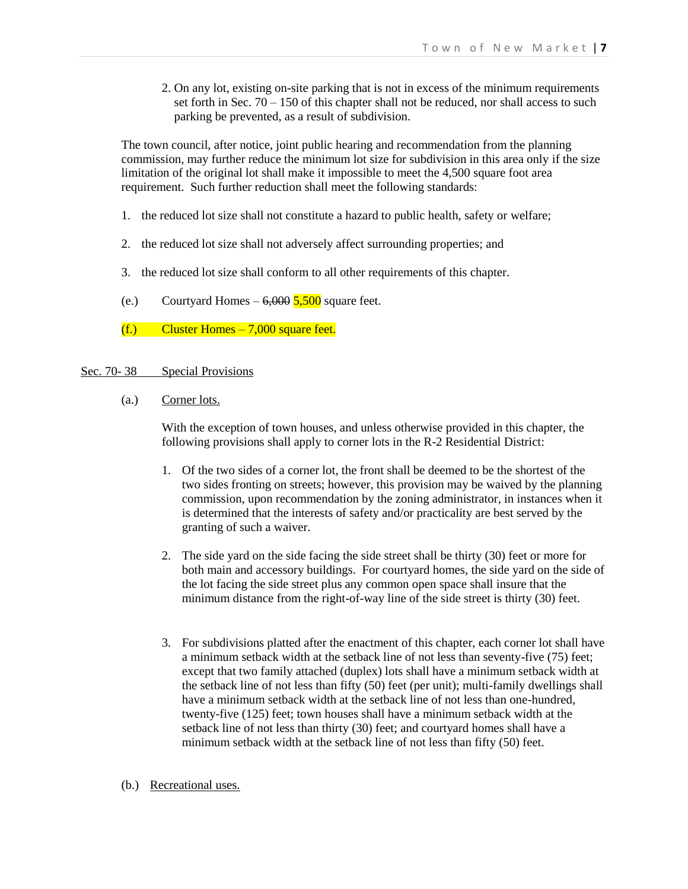2. On any lot, existing on-site parking that is not in excess of the minimum requirements set forth in Sec.  $70 - 150$  of this chapter shall not be reduced, nor shall access to such parking be prevented, as a result of subdivision.

The town council, after notice, joint public hearing and recommendation from the planning commission, may further reduce the minimum lot size for subdivision in this area only if the size limitation of the original lot shall make it impossible to meet the 4,500 square foot area requirement. Such further reduction shall meet the following standards:

- 1. the reduced lot size shall not constitute a hazard to public health, safety or welfare;
- 2. the reduced lot size shall not adversely affect surrounding properties; and
- 3. the reduced lot size shall conform to all other requirements of this chapter.
- (e.) Courtyard Homes  $-6,000\,5,500$  square feet.
- $(f.)$  Cluster Homes  $-7,000$  square feet.

## Sec. 70-38 Special Provisions

(a.) Corner lots.

With the exception of town houses, and unless otherwise provided in this chapter, the following provisions shall apply to corner lots in the R-2 Residential District:

- 1. Of the two sides of a corner lot, the front shall be deemed to be the shortest of the two sides fronting on streets; however, this provision may be waived by the planning commission, upon recommendation by the zoning administrator, in instances when it is determined that the interests of safety and/or practicality are best served by the granting of such a waiver.
- 2. The side yard on the side facing the side street shall be thirty (30) feet or more for both main and accessory buildings. For courtyard homes, the side yard on the side of the lot facing the side street plus any common open space shall insure that the minimum distance from the right-of-way line of the side street is thirty (30) feet.
- 3. For subdivisions platted after the enactment of this chapter, each corner lot shall have a minimum setback width at the setback line of not less than seventy-five (75) feet; except that two family attached (duplex) lots shall have a minimum setback width at the setback line of not less than fifty (50) feet (per unit); multi-family dwellings shall have a minimum setback width at the setback line of not less than one-hundred, twenty-five (125) feet; town houses shall have a minimum setback width at the setback line of not less than thirty (30) feet; and courtyard homes shall have a minimum setback width at the setback line of not less than fifty (50) feet.
- (b.) Recreational uses.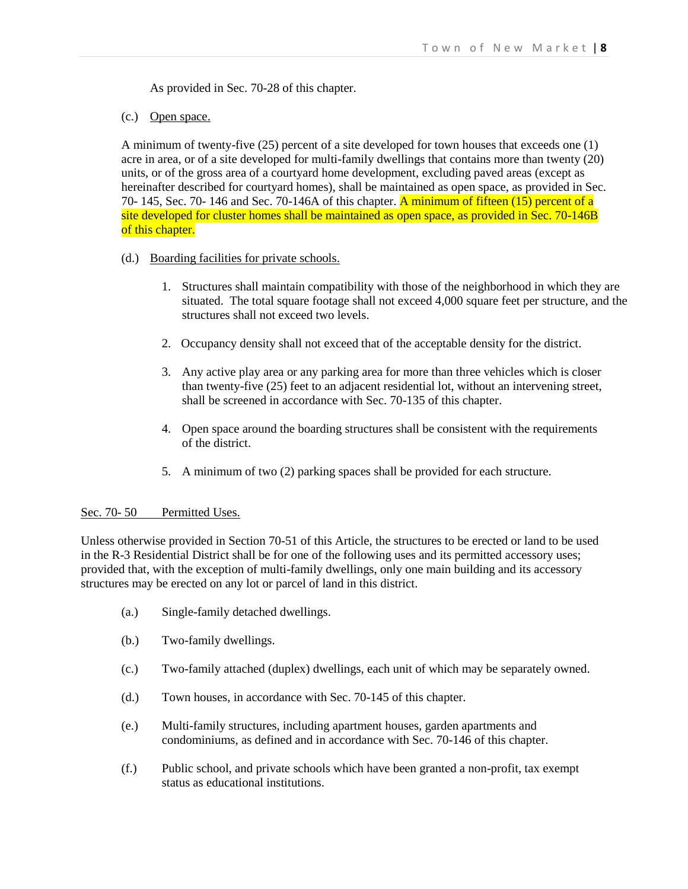As provided in Sec. 70-28 of this chapter.

(c.) Open space.

A minimum of twenty-five (25) percent of a site developed for town houses that exceeds one (1) acre in area, or of a site developed for multi-family dwellings that contains more than twenty (20) units, or of the gross area of a courtyard home development, excluding paved areas (except as hereinafter described for courtyard homes), shall be maintained as open space, as provided in Sec. 70- 145, Sec. 70- 146 and Sec. 70-146A of this chapter. A minimum of fifteen  $(15)$  percent of a site developed for cluster homes shall be maintained as open space, as provided in Sec. 70-146B of this chapter.

- (d.) Boarding facilities for private schools.
	- 1. Structures shall maintain compatibility with those of the neighborhood in which they are situated. The total square footage shall not exceed 4,000 square feet per structure, and the structures shall not exceed two levels.
	- 2. Occupancy density shall not exceed that of the acceptable density for the district.
	- 3. Any active play area or any parking area for more than three vehicles which is closer than twenty-five (25) feet to an adjacent residential lot, without an intervening street, shall be screened in accordance with Sec. 70-135 of this chapter.
	- 4. Open space around the boarding structures shall be consistent with the requirements of the district.
	- 5. A minimum of two (2) parking spaces shall be provided for each structure.

### Sec. 70-50 Permitted Uses.

Unless otherwise provided in Section 70-51 of this Article, the structures to be erected or land to be used in the R-3 Residential District shall be for one of the following uses and its permitted accessory uses; provided that, with the exception of multi-family dwellings, only one main building and its accessory structures may be erected on any lot or parcel of land in this district.

- (a.) Single-family detached dwellings.
- (b.) Two-family dwellings.
- (c.) Two-family attached (duplex) dwellings, each unit of which may be separately owned.
- (d.) Town houses, in accordance with Sec. 70-145 of this chapter.
- (e.) Multi-family structures, including apartment houses, garden apartments and condominiums, as defined and in accordance with Sec. 70-146 of this chapter.
- (f.) Public school, and private schools which have been granted a non-profit, tax exempt status as educational institutions.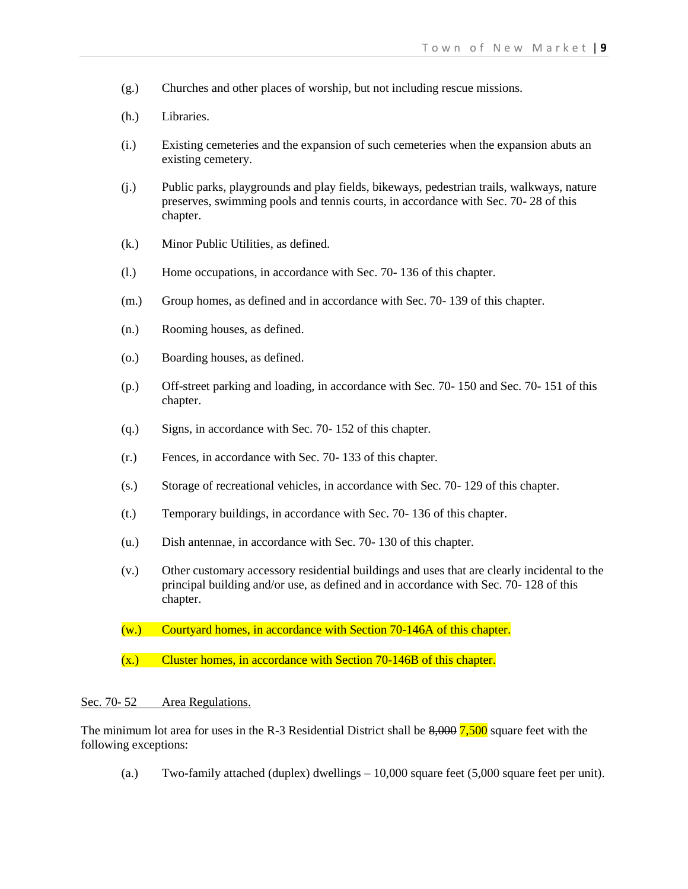- (g.) Churches and other places of worship, but not including rescue missions.
- (h.) Libraries.
- (i.) Existing cemeteries and the expansion of such cemeteries when the expansion abuts an existing cemetery.
- (j.) Public parks, playgrounds and play fields, bikeways, pedestrian trails, walkways, nature preserves, swimming pools and tennis courts, in accordance with Sec. 70- 28 of this chapter.
- (k.) Minor Public Utilities, as defined.
- (l.) Home occupations, in accordance with Sec. 70- 136 of this chapter.
- (m.) Group homes, as defined and in accordance with Sec. 70- 139 of this chapter.
- (n.) Rooming houses, as defined.
- (o.) Boarding houses, as defined.
- (p.) Off-street parking and loading, in accordance with Sec. 70- 150 and Sec. 70- 151 of this chapter.
- (q.) Signs, in accordance with Sec. 70- 152 of this chapter.
- (r.) Fences, in accordance with Sec. 70- 133 of this chapter.
- (s.) Storage of recreational vehicles, in accordance with Sec. 70- 129 of this chapter.
- (t.) Temporary buildings, in accordance with Sec. 70- 136 of this chapter.
- (u.) Dish antennae, in accordance with Sec. 70- 130 of this chapter.
- (v.) Other customary accessory residential buildings and uses that are clearly incidental to the principal building and/or use, as defined and in accordance with Sec. 70- 128 of this chapter.
- (w.) Courtyard homes, in accordance with Section 70-146A of this chapter.
- (x.) Cluster homes, in accordance with Section 70-146B of this chapter.

#### Sec. 70-52 Area Regulations.

The minimum lot area for uses in the R-3 Residential District shall be  $8,000$   $7,500$  square feet with the following exceptions:

(a.) Two-family attached (duplex) dwellings  $-10,000$  square feet (5,000 square feet per unit).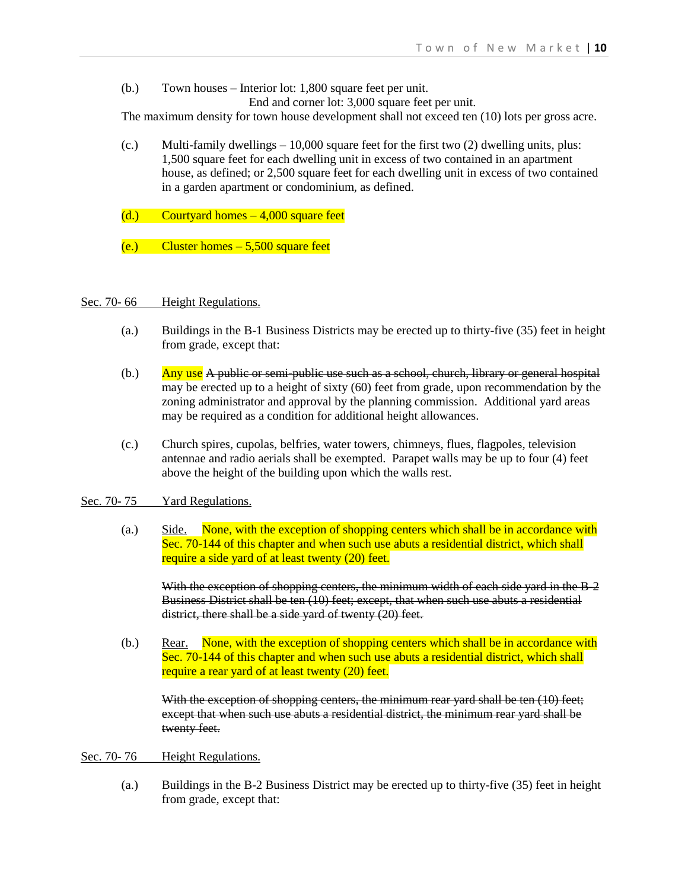(b.) Town houses – Interior lot: 1,800 square feet per unit. End and corner lot: 3,000 square feet per unit.

The maximum density for town house development shall not exceed ten (10) lots per gross acre.

- $(c.)$  Multi-family dwellings  $-10,000$  square feet for the first two  $(2)$  dwelling units, plus: 1,500 square feet for each dwelling unit in excess of two contained in an apartment house, as defined; or 2,500 square feet for each dwelling unit in excess of two contained in a garden apartment or condominium, as defined.
- $(d.)$  Courtyard homes  $-4,000$  square feet
- $(e.)$  Cluster homes  $-5,500$  square feet

#### Sec. 70-66 Height Regulations.

- (a.) Buildings in the B-1 Business Districts may be erected up to thirty-five (35) feet in height from grade, except that:
- $(b.)$  Any use A public or semi-public use such as a school, church, library or general hospital may be erected up to a height of sixty (60) feet from grade, upon recommendation by the zoning administrator and approval by the planning commission. Additional yard areas may be required as a condition for additional height allowances.
- (c.) Church spires, cupolas, belfries, water towers, chimneys, flues, flagpoles, television antennae and radio aerials shall be exempted. Parapet walls may be up to four (4) feet above the height of the building upon which the walls rest.

#### Sec. 70-75 Yard Regulations.

(a.) Side. None, with the exception of shopping centers which shall be in accordance with Sec. 70-144 of this chapter and when such use abuts a residential district, which shall require a side yard of at least twenty (20) feet.

With the exception of shopping centers, the minimum width of each side yard in the B-2 Business District shall be ten (10) feet; except, that when such use abuts a residential district, there shall be a side yard of twenty (20) feet.

(b.) Rear. None, with the exception of shopping centers which shall be in accordance with Sec. 70-144 of this chapter and when such use abuts a residential district, which shall require a rear yard of at least twenty (20) feet.

With the exception of shopping centers, the minimum rear yard shall be ten (10) feet; except that when such use abuts a residential district, the minimum rear yard shall be twenty feet.

#### Sec. 70-76 Height Regulations.

(a.) Buildings in the B-2 Business District may be erected up to thirty-five (35) feet in height from grade, except that: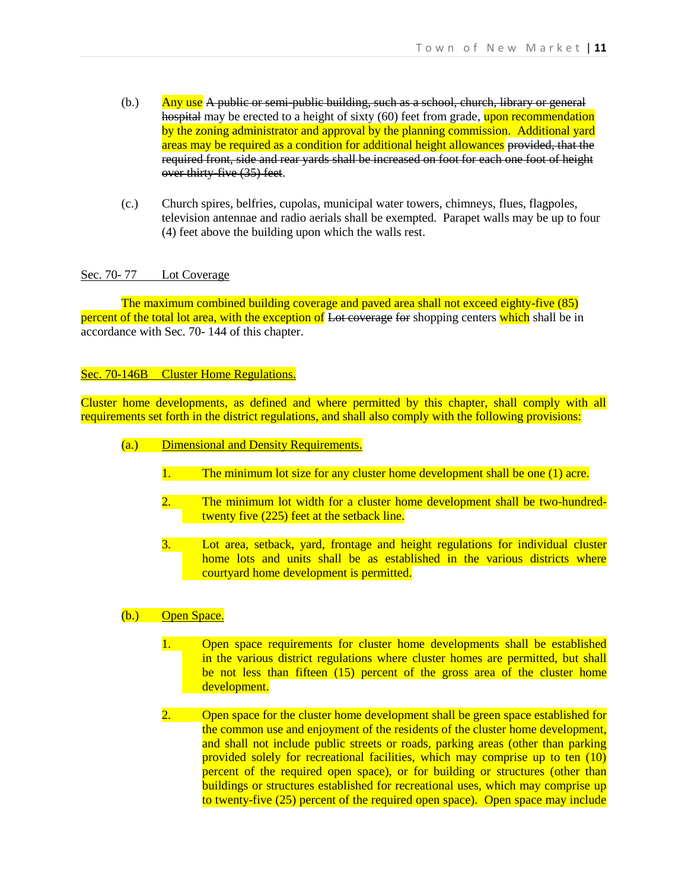- $(h.)$  Any use A public or semi-public building, such as a school, church, library or general hospital may be erected to a height of sixty (60) feet from grade, upon recommendation by the zoning administrator and approval by the planning commission. Additional yard areas may be required as a condition for additional height allowances provided, that the required front, side and rear yards shall be increased on foot for each one foot of height over thirty-five (35) feet.
- (c.) Church spires, belfries, cupolas, municipal water towers, chimneys, flues, flagpoles, television antennae and radio aerials shall be exempted. Parapet walls may be up to four (4) feet above the building upon which the walls rest.

### Sec. 70-77 Lot Coverage

The maximum combined building coverage and paved area shall not exceed eighty-five (85) percent of the total lot area, with the exception of Lot coverage for shopping centers which shall be in accordance with Sec. 70- 144 of this chapter.

## Sec. 70-146B Cluster Home Regulations.

Cluster home developments, as defined and where permitted by this chapter, shall comply with all requirements set forth in the district regulations, and shall also comply with the following provisions:

- (a.) Dimensional and Density Requirements.
	- 1. The minimum lot size for any cluster home development shall be one (1) acre.
	- 2. The minimum lot width for a cluster home development shall be two-hundredtwenty five (225) feet at the setback line.
	- 3. Lot area, setback, yard, frontage and height regulations for individual cluster home lots and units shall be as established in the various districts where courtyard home development is permitted.

# (b.) Open Space.

- 1. Open space requirements for cluster home developments shall be established in the various district regulations where cluster homes are permitted, but shall be not less than fifteen (15) percent of the gross area of the cluster home development.
- 2. Open space for the cluster home development shall be green space established for the common use and enjoyment of the residents of the cluster home development, and shall not include public streets or roads, parking areas (other than parking provided solely for recreational facilities, which may comprise up to ten (10) percent of the required open space), or for building or structures (other than buildings or structures established for recreational uses, which may comprise up to twenty-five (25) percent of the required open space). Open space may include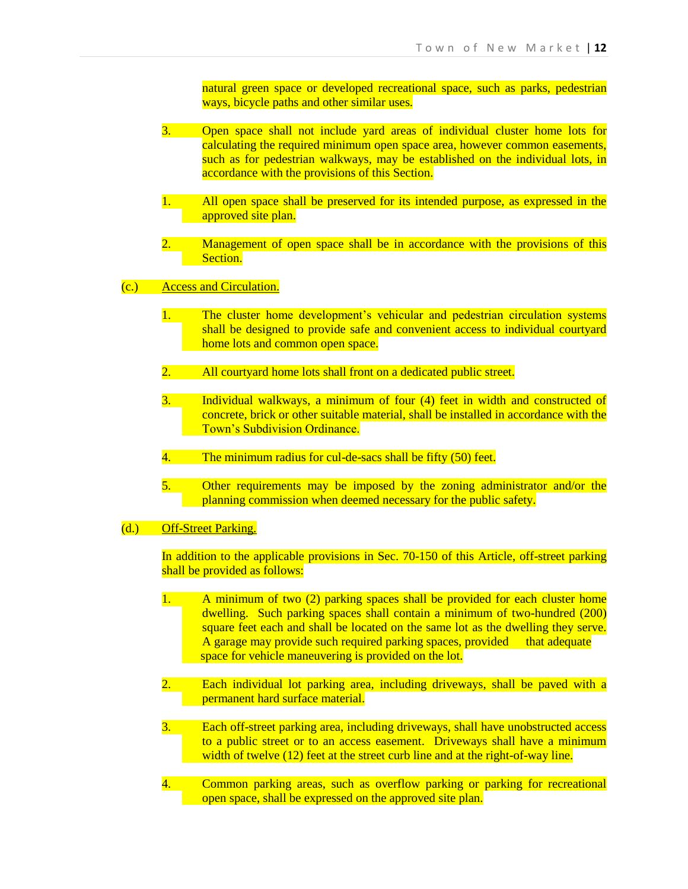natural green space or developed recreational space, such as parks, pedestrian ways, bicycle paths and other similar uses.

- 3. Open space shall not include yard areas of individual cluster home lots for calculating the required minimum open space area, however common easements, such as for pedestrian walkways, may be established on the individual lots, in accordance with the provisions of this Section.
- 1. All open space shall be preserved for its intended purpose, as expressed in the approved site plan.
- 2. Management of open space shall be in accordance with the provisions of this Section.
- (c.) Access and Circulation.
	- 1. The cluster home development's vehicular and pedestrian circulation systems shall be designed to provide safe and convenient access to individual courtyard home lots and common open space.
	- 2. All courtyard home lots shall front on a dedicated public street.
	- 3. Individual walkways, a minimum of four (4) feet in width and constructed of concrete, brick or other suitable material, shall be installed in accordance with the Town's Subdivision Ordinance.
	- 4. The minimum radius for cul-de-sacs shall be fifty (50) feet.
	- 5. Other requirements may be imposed by the zoning administrator and/or the planning commission when deemed necessary for the public safety.
- (d.) Off-Street Parking.

In addition to the applicable provisions in Sec. 70-150 of this Article, off-street parking shall be provided as follows:

- 1. A minimum of two (2) parking spaces shall be provided for each cluster home dwelling. Such parking spaces shall contain a minimum of two-hundred (200) square feet each and shall be located on the same lot as the dwelling they serve. A garage may provide such required parking spaces, provided that adequate space for vehicle maneuvering is provided on the lot.
- 2. Each individual lot parking area, including driveways, shall be paved with a permanent hard surface material.
- 3. Each off-street parking area, including driveways, shall have unobstructed access to a public street or to an access easement. Driveways shall have a minimum width of twelve (12) feet at the street curb line and at the right-of-way line.
- 4. Common parking areas, such as overflow parking or parking for recreational open space, shall be expressed on the approved site plan.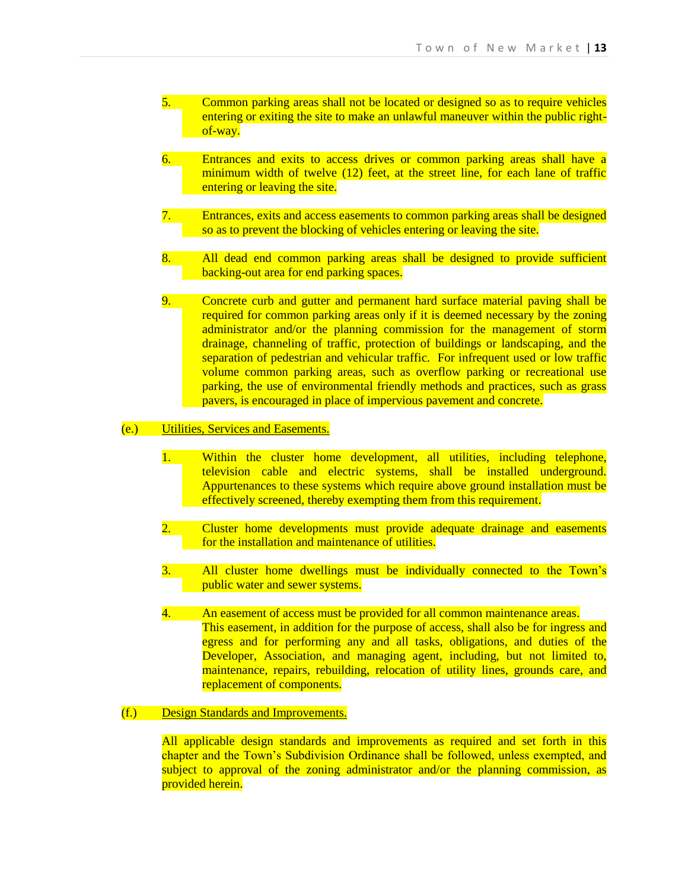- 5. Common parking areas shall not be located or designed so as to require vehicles entering or exiting the site to make an unlawful maneuver within the public rightof-way.
- 6. Entrances and exits to access drives or common parking areas shall have a minimum width of twelve (12) feet, at the street line, for each lane of traffic entering or leaving the site.
- 7. Entrances, exits and access easements to common parking areas shall be designed so as to prevent the blocking of vehicles entering or leaving the site.
- 8. All dead end common parking areas shall be designed to provide sufficient backing-out area for end parking spaces.
- 9. Concrete curb and gutter and permanent hard surface material paving shall be required for common parking areas only if it is deemed necessary by the zoning administrator and/or the planning commission for the management of storm drainage, channeling of traffic, protection of buildings or landscaping, and the separation of pedestrian and vehicular traffic. For infrequent used or low traffic volume common parking areas, such as overflow parking or recreational use parking, the use of environmental friendly methods and practices, such as grass pavers, is encouraged in place of impervious pavement and concrete.

# (e.) Utilities, Services and Easements.

- 1. Within the cluster home development, all utilities, including telephone, television cable and electric systems, shall be installed underground. Appurtenances to these systems which require above ground installation must be effectively screened, thereby exempting them from this requirement.
- 2. Cluster home developments must provide adequate drainage and easements for the installation and maintenance of utilities.
- 3. All cluster home dwellings must be individually connected to the Town's public water and sewer systems.
- 4. An easement of access must be provided for all common maintenance areas. This easement, in addition for the purpose of access, shall also be for ingress and egress and for performing any and all tasks, obligations, and duties of the Developer, Association, and managing agent, including, but not limited to, maintenance, repairs, rebuilding, relocation of utility lines, grounds care, and replacement of components.

# (f.) Design Standards and Improvements.

All applicable design standards and improvements as required and set forth in this chapter and the Town's Subdivision Ordinance shall be followed, unless exempted, and subject to approval of the zoning administrator and/or the planning commission, as provided herein.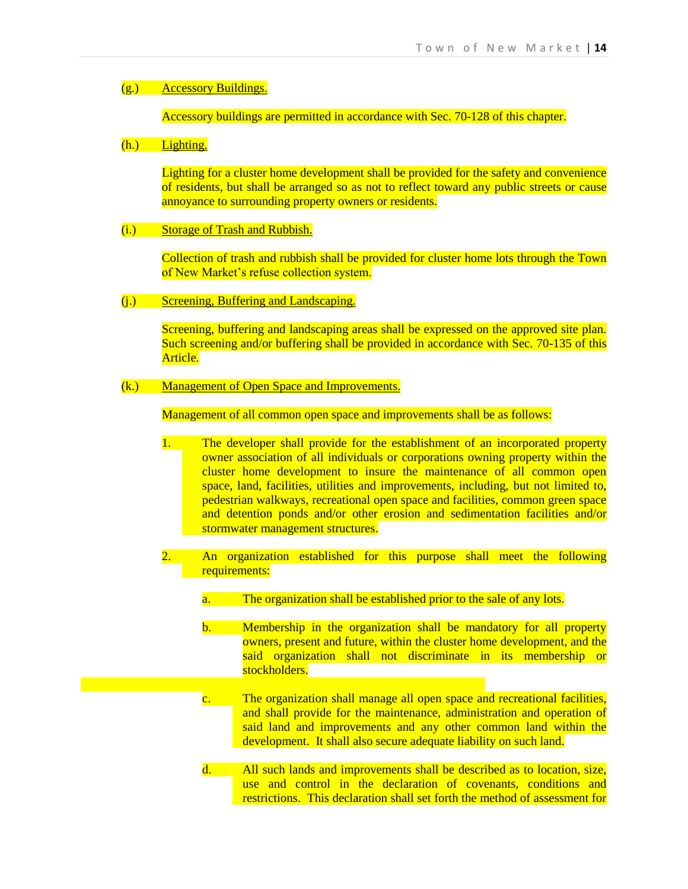# (g.) Accessory Buildings.

Accessory buildings are permitted in accordance with Sec. 70-128 of this chapter.

### (h.) Lighting.

Lighting for a cluster home development shall be provided for the safety and convenience of residents, but shall be arranged so as not to reflect toward any public streets or cause annoyance to surrounding property owners or residents.

(i.) Storage of Trash and Rubbish.

Collection of trash and rubbish shall be provided for cluster home lots through the Town of New Market's refuse collection system.

(j.) Screening, Buffering and Landscaping.

Screening, buffering and landscaping areas shall be expressed on the approved site plan. Such screening and/or buffering shall be provided in accordance with Sec. 70-135 of this Article.

(k.) Management of Open Space and Improvements.

Management of all common open space and improvements shall be as follows:

- 1. The developer shall provide for the establishment of an incorporated property owner association of all individuals or corporations owning property within the cluster home development to insure the maintenance of all common open space, land, facilities, utilities and improvements, including, but not limited to, pedestrian walkways, recreational open space and facilities, common green space and detention ponds and/or other erosion and sedimentation facilities and/or stormwater management structures.
- 2. An organization established for this purpose shall meet the following requirements:
	- a. The organization shall be established prior to the sale of any lots.
	- b. Membership in the organization shall be mandatory for all property owners, present and future, within the cluster home development, and the said organization shall not discriminate in its membership or stockholders.
	- c. The organization shall manage all open space and recreational facilities, and shall provide for the maintenance, administration and operation of said land and improvements and any other common land within the development. It shall also secure adequate liability on such land.
	- d. All such lands and improvements shall be described as to location, size, use and control in the declaration of covenants, conditions and restrictions. This declaration shall set forth the method of assessment for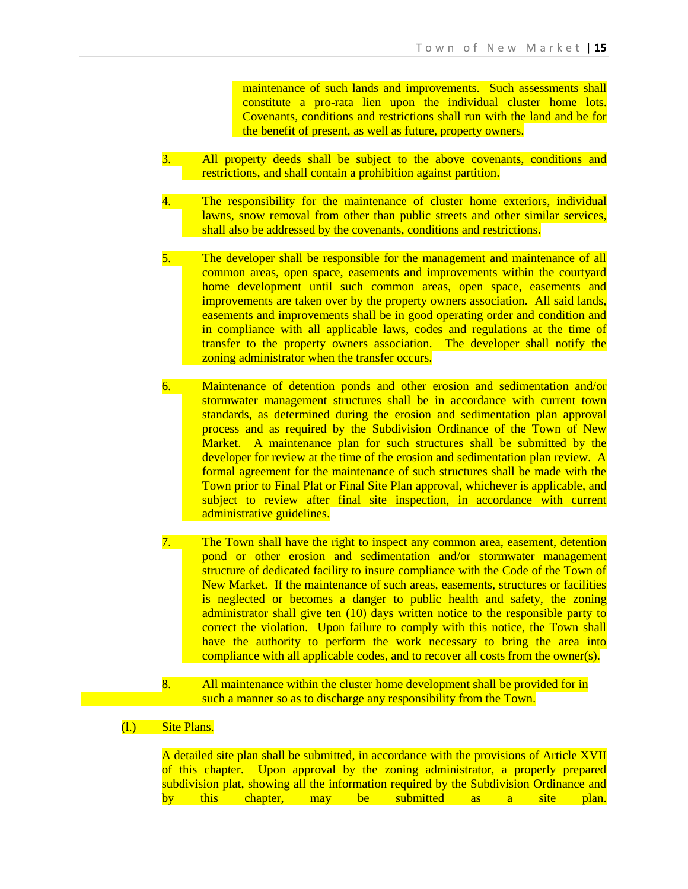maintenance of such lands and improvements. Such assessments shall constitute a pro-rata lien upon the individual cluster home lots. Covenants, conditions and restrictions shall run with the land and be for the benefit of present, as well as future, property owners.

- 3. All property deeds shall be subject to the above covenants, conditions and restrictions, and shall contain a prohibition against partition.
- 4. The responsibility for the maintenance of cluster home exteriors, individual lawns, snow removal from other than public streets and other similar services, shall also be addressed by the covenants, conditions and restrictions.

5. The developer shall be responsible for the management and maintenance of all common areas, open space, easements and improvements within the courtyard home development until such common areas, open space, easements and improvements are taken over by the property owners association. All said lands, easements and improvements shall be in good operating order and condition and in compliance with all applicable laws, codes and regulations at the time of transfer to the property owners association. The developer shall notify the zoning administrator when the transfer occurs.

- 6. Maintenance of detention ponds and other erosion and sedimentation and/or stormwater management structures shall be in accordance with current town standards, as determined during the erosion and sedimentation plan approval process and as required by the Subdivision Ordinance of the Town of New Market. A maintenance plan for such structures shall be submitted by the developer for review at the time of the erosion and sedimentation plan review. A formal agreement for the maintenance of such structures shall be made with the Town prior to Final Plat or Final Site Plan approval, whichever is applicable, and subject to review after final site inspection, in accordance with current administrative guidelines.
- 7. The Town shall have the right to inspect any common area, easement, detention pond or other erosion and sedimentation and/or stormwater management structure of dedicated facility to insure compliance with the Code of the Town of New Market. If the maintenance of such areas, easements, structures or facilities is neglected or becomes a danger to public health and safety, the zoning administrator shall give ten (10) days written notice to the responsible party to correct the violation. Upon failure to comply with this notice, the Town shall have the authority to perform the work necessary to bring the area into compliance with all applicable codes, and to recover all costs from the owner(s).
- 8. All maintenance within the cluster home development shall be provided for in such a manner so as to discharge any responsibility from the Town.
- (l.) Site Plans.

A detailed site plan shall be submitted, in accordance with the provisions of Article XVII of this chapter. Upon approval by the zoning administrator, a properly prepared subdivision plat, showing all the information required by the Subdivision Ordinance and by this chapter, may be submitted as a site plan.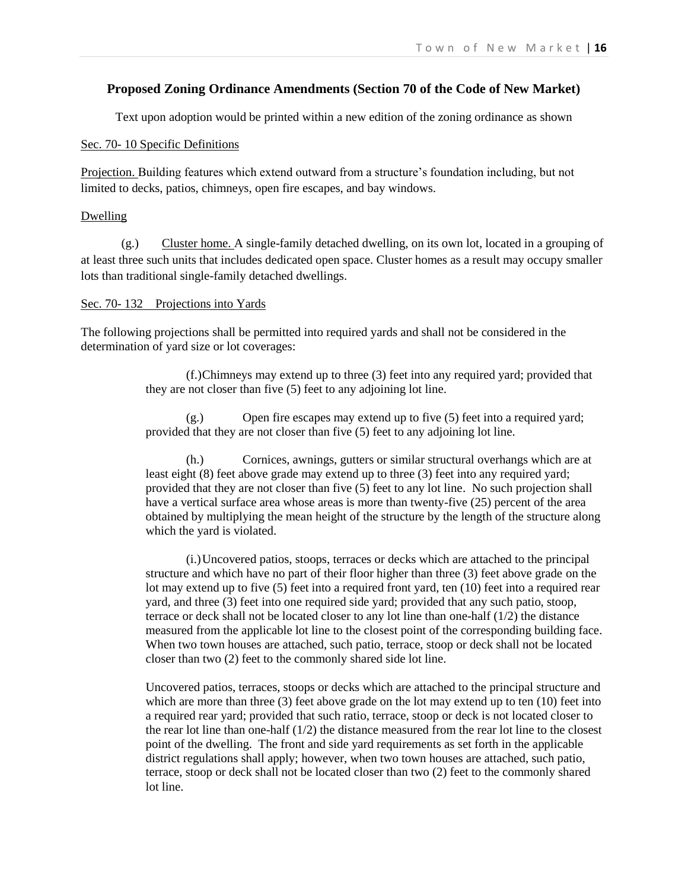# **Proposed Zoning Ordinance Amendments (Section 70 of the Code of New Market)**

Text upon adoption would be printed within a new edition of the zoning ordinance as shown

### Sec. 70- 10 Specific Definitions

Projection. Building features which extend outward from a structure's foundation including, but not limited to decks, patios, chimneys, open fire escapes, and bay windows.

#### Dwelling

(g.) Cluster home. A single-family detached dwelling, on its own lot, located in a grouping of at least three such units that includes dedicated open space. Cluster homes as a result may occupy smaller lots than traditional single-family detached dwellings.

### Sec. 70- 132 Projections into Yards

The following projections shall be permitted into required yards and shall not be considered in the determination of yard size or lot coverages:

> (f.)Chimneys may extend up to three (3) feet into any required yard; provided that they are not closer than five (5) feet to any adjoining lot line.

(g.) Open fire escapes may extend up to five (5) feet into a required yard; provided that they are not closer than five (5) feet to any adjoining lot line.

(h.) Cornices, awnings, gutters or similar structural overhangs which are at least eight (8) feet above grade may extend up to three (3) feet into any required yard; provided that they are not closer than five (5) feet to any lot line. No such projection shall have a vertical surface area whose areas is more than twenty-five (25) percent of the area obtained by multiplying the mean height of the structure by the length of the structure along which the yard is violated.

(i.)Uncovered patios, stoops, terraces or decks which are attached to the principal structure and which have no part of their floor higher than three (3) feet above grade on the lot may extend up to five (5) feet into a required front yard, ten (10) feet into a required rear yard, and three (3) feet into one required side yard; provided that any such patio, stoop, terrace or deck shall not be located closer to any lot line than one-half (1/2) the distance measured from the applicable lot line to the closest point of the corresponding building face. When two town houses are attached, such patio, terrace, stoop or deck shall not be located closer than two (2) feet to the commonly shared side lot line.

Uncovered patios, terraces, stoops or decks which are attached to the principal structure and which are more than three (3) feet above grade on the lot may extend up to ten (10) feet into a required rear yard; provided that such ratio, terrace, stoop or deck is not located closer to the rear lot line than one-half  $(1/2)$  the distance measured from the rear lot line to the closest point of the dwelling. The front and side yard requirements as set forth in the applicable district regulations shall apply; however, when two town houses are attached, such patio, terrace, stoop or deck shall not be located closer than two (2) feet to the commonly shared lot line.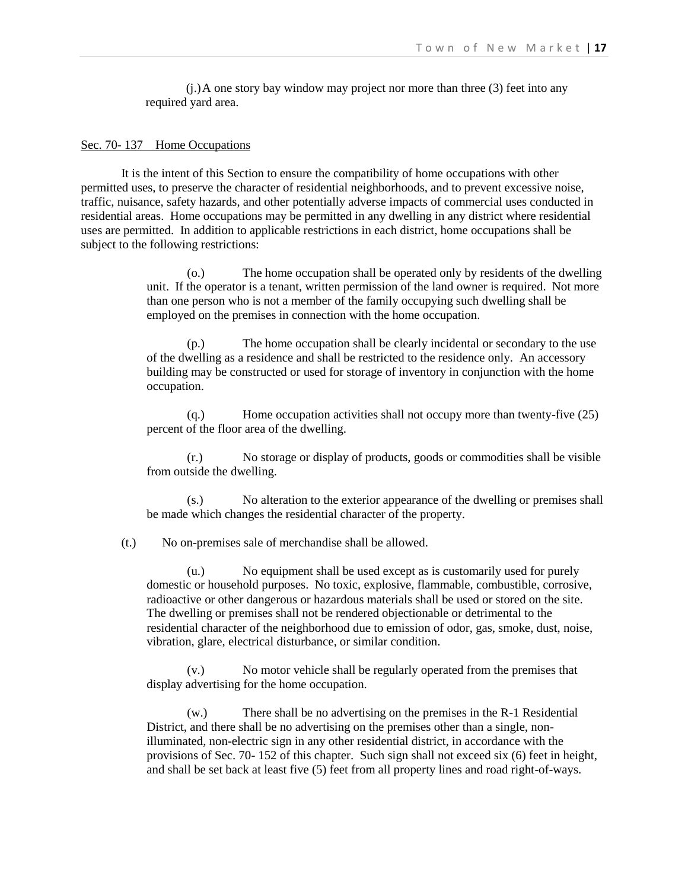$(i)$ .) A one story bay window may project nor more than three (3) feet into any required yard area.

#### Sec. 70- 137 Home Occupations

It is the intent of this Section to ensure the compatibility of home occupations with other permitted uses, to preserve the character of residential neighborhoods, and to prevent excessive noise, traffic, nuisance, safety hazards, and other potentially adverse impacts of commercial uses conducted in residential areas. Home occupations may be permitted in any dwelling in any district where residential uses are permitted. In addition to applicable restrictions in each district, home occupations shall be subject to the following restrictions:

> (o.) The home occupation shall be operated only by residents of the dwelling unit. If the operator is a tenant, written permission of the land owner is required. Not more than one person who is not a member of the family occupying such dwelling shall be employed on the premises in connection with the home occupation.

(p.) The home occupation shall be clearly incidental or secondary to the use of the dwelling as a residence and shall be restricted to the residence only. An accessory building may be constructed or used for storage of inventory in conjunction with the home occupation.

(q.) Home occupation activities shall not occupy more than twenty-five (25) percent of the floor area of the dwelling.

(r.) No storage or display of products, goods or commodities shall be visible from outside the dwelling.

(s.) No alteration to the exterior appearance of the dwelling or premises shall be made which changes the residential character of the property.

(t.) No on-premises sale of merchandise shall be allowed.

(u.) No equipment shall be used except as is customarily used for purely domestic or household purposes. No toxic, explosive, flammable, combustible, corrosive, radioactive or other dangerous or hazardous materials shall be used or stored on the site. The dwelling or premises shall not be rendered objectionable or detrimental to the residential character of the neighborhood due to emission of odor, gas, smoke, dust, noise, vibration, glare, electrical disturbance, or similar condition.

(v.) No motor vehicle shall be regularly operated from the premises that display advertising for the home occupation.

(w.) There shall be no advertising on the premises in the R-1 Residential District, and there shall be no advertising on the premises other than a single, nonilluminated, non-electric sign in any other residential district, in accordance with the provisions of Sec. 70- 152 of this chapter. Such sign shall not exceed six (6) feet in height, and shall be set back at least five (5) feet from all property lines and road right-of-ways.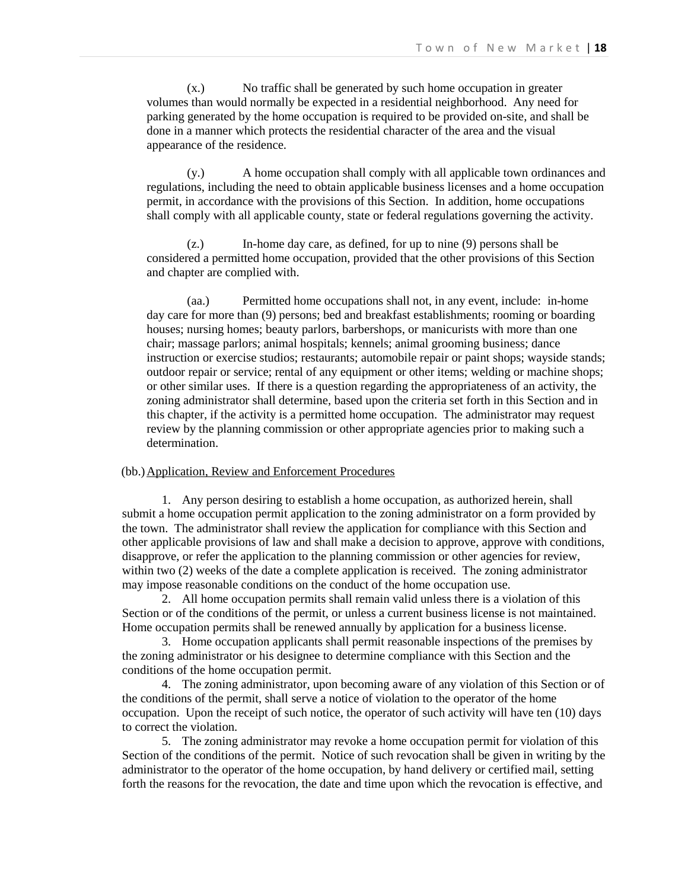(x.) No traffic shall be generated by such home occupation in greater volumes than would normally be expected in a residential neighborhood. Any need for parking generated by the home occupation is required to be provided on-site, and shall be done in a manner which protects the residential character of the area and the visual appearance of the residence.

(y.) A home occupation shall comply with all applicable town ordinances and regulations, including the need to obtain applicable business licenses and a home occupation permit, in accordance with the provisions of this Section. In addition, home occupations shall comply with all applicable county, state or federal regulations governing the activity.

(z.) In-home day care, as defined, for up to nine (9) persons shall be considered a permitted home occupation, provided that the other provisions of this Section and chapter are complied with.

(aa.) Permitted home occupations shall not, in any event, include: in-home day care for more than (9) persons; bed and breakfast establishments; rooming or boarding houses; nursing homes; beauty parlors, barbershops, or manicurists with more than one chair; massage parlors; animal hospitals; kennels; animal grooming business; dance instruction or exercise studios; restaurants; automobile repair or paint shops; wayside stands; outdoor repair or service; rental of any equipment or other items; welding or machine shops; or other similar uses. If there is a question regarding the appropriateness of an activity, the zoning administrator shall determine, based upon the criteria set forth in this Section and in this chapter, if the activity is a permitted home occupation. The administrator may request review by the planning commission or other appropriate agencies prior to making such a determination.

#### (bb.)Application, Review and Enforcement Procedures

1. Any person desiring to establish a home occupation, as authorized herein, shall submit a home occupation permit application to the zoning administrator on a form provided by the town. The administrator shall review the application for compliance with this Section and other applicable provisions of law and shall make a decision to approve, approve with conditions, disapprove, or refer the application to the planning commission or other agencies for review, within two (2) weeks of the date a complete application is received. The zoning administrator may impose reasonable conditions on the conduct of the home occupation use.

2. All home occupation permits shall remain valid unless there is a violation of this Section or of the conditions of the permit, or unless a current business license is not maintained. Home occupation permits shall be renewed annually by application for a business license.

3. Home occupation applicants shall permit reasonable inspections of the premises by the zoning administrator or his designee to determine compliance with this Section and the conditions of the home occupation permit.

4. The zoning administrator, upon becoming aware of any violation of this Section or of the conditions of the permit, shall serve a notice of violation to the operator of the home occupation. Upon the receipt of such notice, the operator of such activity will have ten (10) days to correct the violation.

5. The zoning administrator may revoke a home occupation permit for violation of this Section of the conditions of the permit. Notice of such revocation shall be given in writing by the administrator to the operator of the home occupation, by hand delivery or certified mail, setting forth the reasons for the revocation, the date and time upon which the revocation is effective, and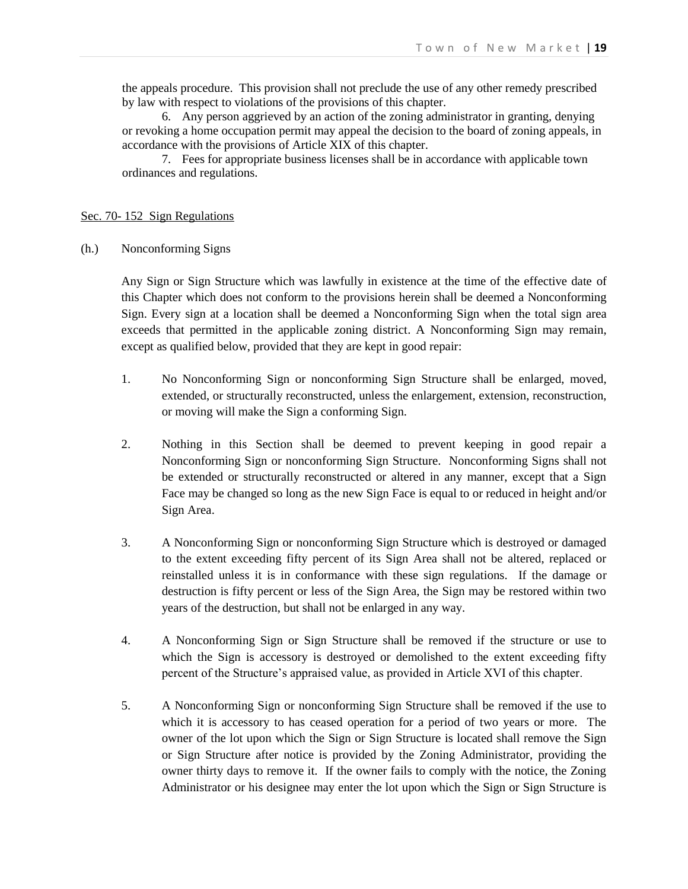the appeals procedure. This provision shall not preclude the use of any other remedy prescribed by law with respect to violations of the provisions of this chapter.

6. Any person aggrieved by an action of the zoning administrator in granting, denying or revoking a home occupation permit may appeal the decision to the board of zoning appeals, in accordance with the provisions of Article XIX of this chapter.

7. Fees for appropriate business licenses shall be in accordance with applicable town ordinances and regulations.

### Sec. 70- 152 Sign Regulations

(h.) Nonconforming Signs

Any Sign or Sign Structure which was lawfully in existence at the time of the effective date of this Chapter which does not conform to the provisions herein shall be deemed a Nonconforming Sign. Every sign at a location shall be deemed a Nonconforming Sign when the total sign area exceeds that permitted in the applicable zoning district. A Nonconforming Sign may remain, except as qualified below, provided that they are kept in good repair:

- 1. No Nonconforming Sign or nonconforming Sign Structure shall be enlarged, moved, extended, or structurally reconstructed, unless the enlargement, extension, reconstruction, or moving will make the Sign a conforming Sign.
- 2. Nothing in this Section shall be deemed to prevent keeping in good repair a Nonconforming Sign or nonconforming Sign Structure. Nonconforming Signs shall not be extended or structurally reconstructed or altered in any manner, except that a Sign Face may be changed so long as the new Sign Face is equal to or reduced in height and/or Sign Area.
- 3. A Nonconforming Sign or nonconforming Sign Structure which is destroyed or damaged to the extent exceeding fifty percent of its Sign Area shall not be altered, replaced or reinstalled unless it is in conformance with these sign regulations. If the damage or destruction is fifty percent or less of the Sign Area, the Sign may be restored within two years of the destruction, but shall not be enlarged in any way.
- 4. A Nonconforming Sign or Sign Structure shall be removed if the structure or use to which the Sign is accessory is destroyed or demolished to the extent exceeding fifty percent of the Structure's appraised value, as provided in Article XVI of this chapter.
- 5. A Nonconforming Sign or nonconforming Sign Structure shall be removed if the use to which it is accessory to has ceased operation for a period of two years or more. The owner of the lot upon which the Sign or Sign Structure is located shall remove the Sign or Sign Structure after notice is provided by the Zoning Administrator, providing the owner thirty days to remove it. If the owner fails to comply with the notice, the Zoning Administrator or his designee may enter the lot upon which the Sign or Sign Structure is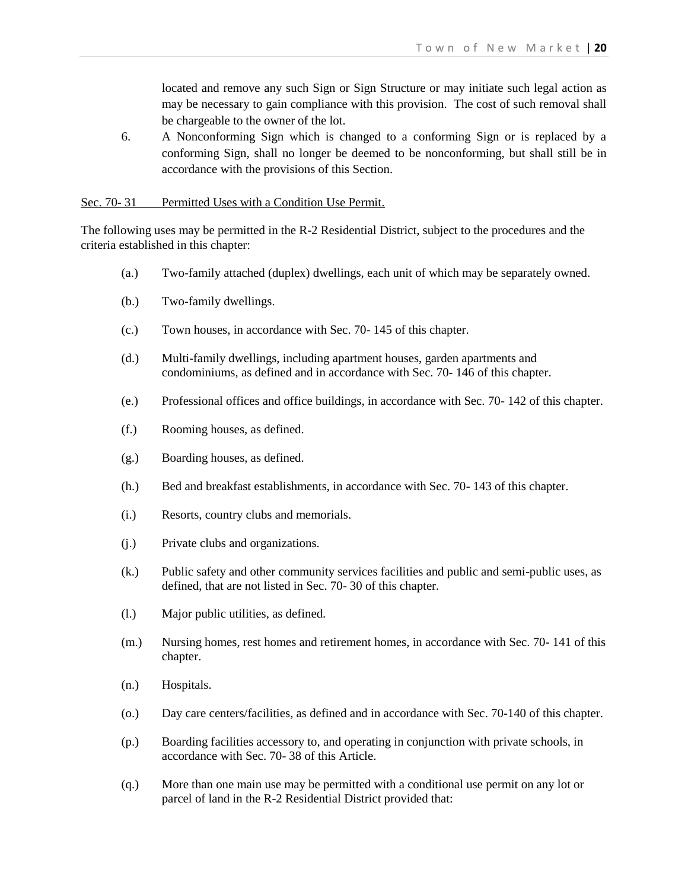located and remove any such Sign or Sign Structure or may initiate such legal action as may be necessary to gain compliance with this provision. The cost of such removal shall be chargeable to the owner of the lot.

6. A Nonconforming Sign which is changed to a conforming Sign or is replaced by a conforming Sign, shall no longer be deemed to be nonconforming, but shall still be in accordance with the provisions of this Section.

## Sec. 70-31 Permitted Uses with a Condition Use Permit.

The following uses may be permitted in the R-2 Residential District, subject to the procedures and the criteria established in this chapter:

- (a.) Two-family attached (duplex) dwellings, each unit of which may be separately owned.
- (b.) Two-family dwellings.
- (c.) Town houses, in accordance with Sec. 70- 145 of this chapter.
- (d.) Multi-family dwellings, including apartment houses, garden apartments and condominiums, as defined and in accordance with Sec. 70- 146 of this chapter.
- (e.) Professional offices and office buildings, in accordance with Sec. 70- 142 of this chapter.
- (f.) Rooming houses, as defined.
- (g.) Boarding houses, as defined.
- (h.) Bed and breakfast establishments, in accordance with Sec. 70- 143 of this chapter.
- (i.) Resorts, country clubs and memorials.
- (j.) Private clubs and organizations.
- (k.) Public safety and other community services facilities and public and semi-public uses, as defined, that are not listed in Sec. 70- 30 of this chapter.
- (l.) Major public utilities, as defined.
- (m.) Nursing homes, rest homes and retirement homes, in accordance with Sec. 70- 141 of this chapter.
- (n.) Hospitals.
- (o.) Day care centers/facilities, as defined and in accordance with Sec. 70-140 of this chapter.
- (p.) Boarding facilities accessory to, and operating in conjunction with private schools, in accordance with Sec. 70- 38 of this Article.
- (q.) More than one main use may be permitted with a conditional use permit on any lot or parcel of land in the R-2 Residential District provided that: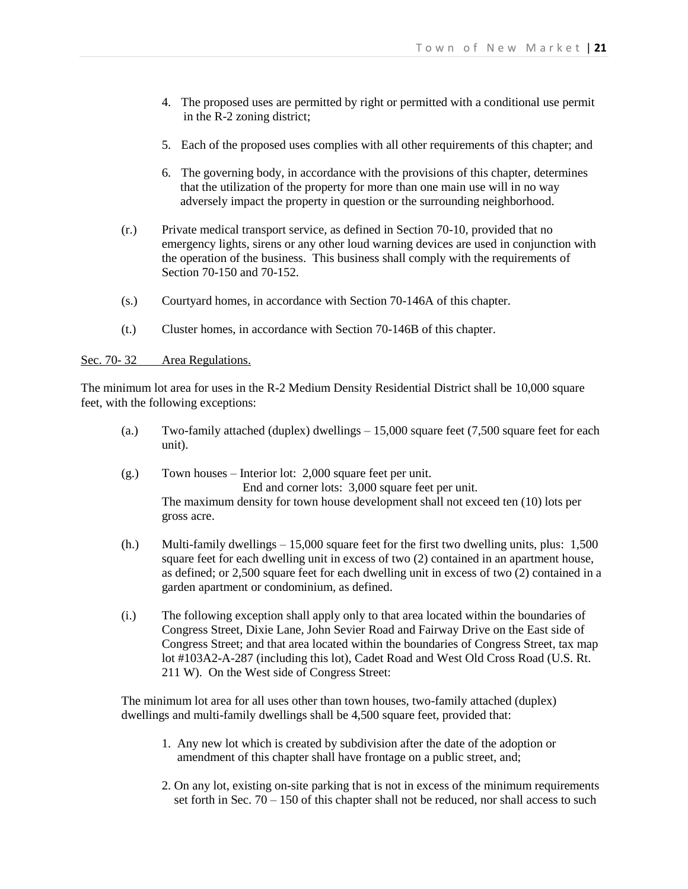- 4. The proposed uses are permitted by right or permitted with a conditional use permit in the R-2 zoning district;
- 5. Each of the proposed uses complies with all other requirements of this chapter; and
- 6. The governing body, in accordance with the provisions of this chapter, determines that the utilization of the property for more than one main use will in no way adversely impact the property in question or the surrounding neighborhood.
- (r.) Private medical transport service, as defined in Section 70-10, provided that no emergency lights, sirens or any other loud warning devices are used in conjunction with the operation of the business. This business shall comply with the requirements of Section 70-150 and 70-152.
- (s.) Courtyard homes, in accordance with Section 70-146A of this chapter.
- (t.) Cluster homes, in accordance with Section 70-146B of this chapter.

### Sec. 70-32 Area Regulations.

The minimum lot area for uses in the R-2 Medium Density Residential District shall be 10,000 square feet, with the following exceptions:

- (a.) Two-family attached (duplex) dwellings 15,000 square feet (7,500 square feet for each unit).
- (g.) Town houses Interior lot: 2,000 square feet per unit. End and corner lots: 3,000 square feet per unit. The maximum density for town house development shall not exceed ten (10) lots per gross acre.
- (h.) Multi-family dwellings 15,000 square feet for the first two dwelling units, plus: 1,500 square feet for each dwelling unit in excess of two (2) contained in an apartment house, as defined; or 2,500 square feet for each dwelling unit in excess of two (2) contained in a garden apartment or condominium, as defined.
- (i.) The following exception shall apply only to that area located within the boundaries of Congress Street, Dixie Lane, John Sevier Road and Fairway Drive on the East side of Congress Street; and that area located within the boundaries of Congress Street, tax map lot #103A2-A-287 (including this lot), Cadet Road and West Old Cross Road (U.S. Rt. 211 W). On the West side of Congress Street:

The minimum lot area for all uses other than town houses, two-family attached (duplex) dwellings and multi-family dwellings shall be 4,500 square feet, provided that:

- 1. Any new lot which is created by subdivision after the date of the adoption or amendment of this chapter shall have frontage on a public street, and;
- 2. On any lot, existing on-site parking that is not in excess of the minimum requirements set forth in Sec.  $70 - 150$  of this chapter shall not be reduced, nor shall access to such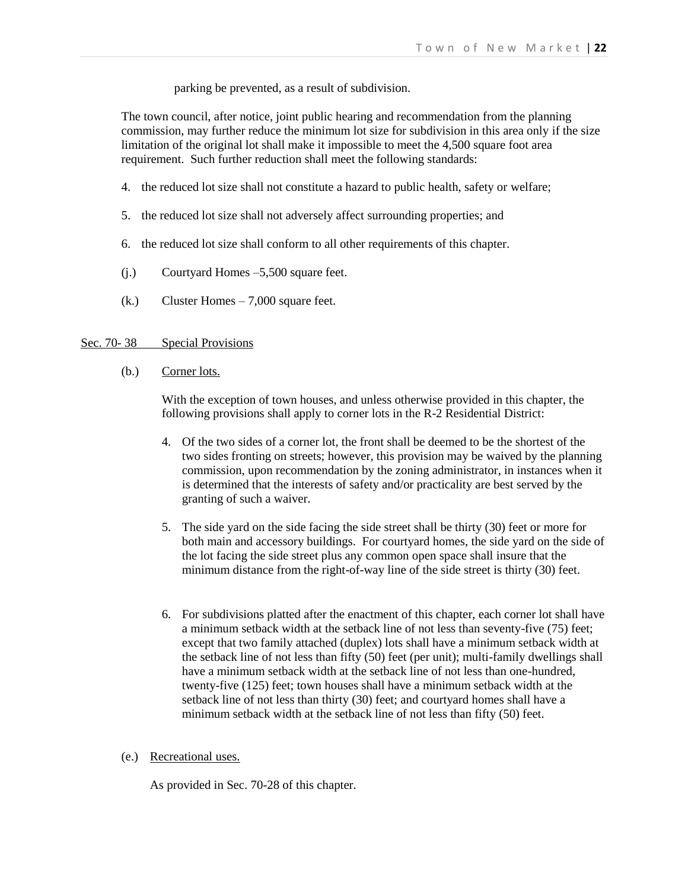parking be prevented, as a result of subdivision.

The town council, after notice, joint public hearing and recommendation from the planning commission, may further reduce the minimum lot size for subdivision in this area only if the size limitation of the original lot shall make it impossible to meet the 4,500 square foot area requirement. Such further reduction shall meet the following standards:

- 4. the reduced lot size shall not constitute a hazard to public health, safety or welfare;
- 5. the reduced lot size shall not adversely affect surrounding properties; and
- 6. the reduced lot size shall conform to all other requirements of this chapter.
- (j.) Courtyard Homes –5,500 square feet.
- (k.) Cluster Homes 7,000 square feet.

#### Sec. 70-38 Special Provisions

(b.) Corner lots.

With the exception of town houses, and unless otherwise provided in this chapter, the following provisions shall apply to corner lots in the R-2 Residential District:

- 4. Of the two sides of a corner lot, the front shall be deemed to be the shortest of the two sides fronting on streets; however, this provision may be waived by the planning commission, upon recommendation by the zoning administrator, in instances when it is determined that the interests of safety and/or practicality are best served by the granting of such a waiver.
- 5. The side yard on the side facing the side street shall be thirty (30) feet or more for both main and accessory buildings. For courtyard homes, the side yard on the side of the lot facing the side street plus any common open space shall insure that the minimum distance from the right-of-way line of the side street is thirty (30) feet.
- 6. For subdivisions platted after the enactment of this chapter, each corner lot shall have a minimum setback width at the setback line of not less than seventy-five (75) feet; except that two family attached (duplex) lots shall have a minimum setback width at the setback line of not less than fifty (50) feet (per unit); multi-family dwellings shall have a minimum setback width at the setback line of not less than one-hundred, twenty-five (125) feet; town houses shall have a minimum setback width at the setback line of not less than thirty (30) feet; and courtyard homes shall have a minimum setback width at the setback line of not less than fifty (50) feet.
- (e.) Recreational uses.

As provided in Sec. 70-28 of this chapter.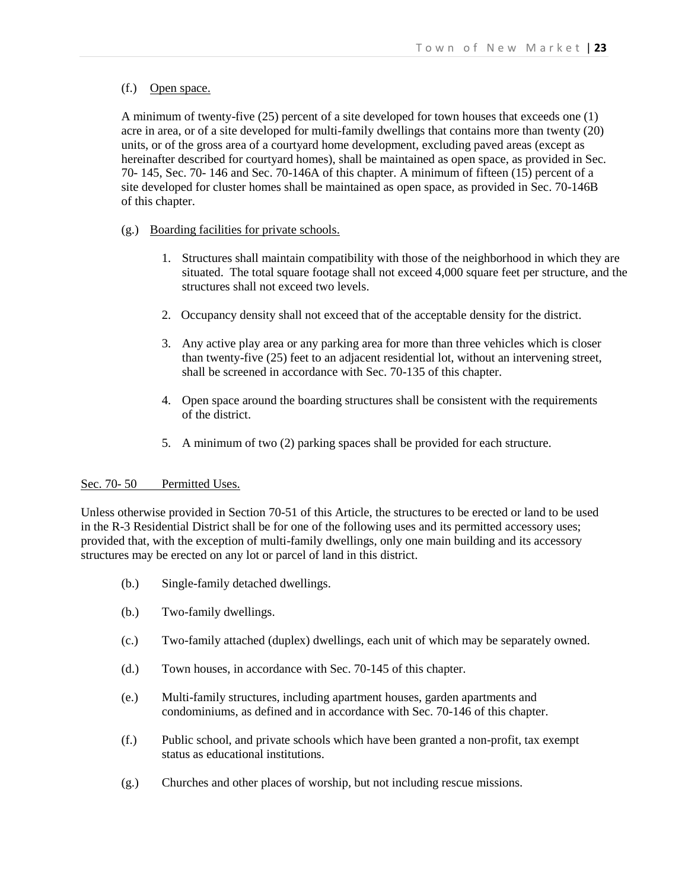## (f.) Open space.

A minimum of twenty-five (25) percent of a site developed for town houses that exceeds one (1) acre in area, or of a site developed for multi-family dwellings that contains more than twenty (20) units, or of the gross area of a courtyard home development, excluding paved areas (except as hereinafter described for courtyard homes), shall be maintained as open space, as provided in Sec. 70- 145, Sec. 70- 146 and Sec. 70-146A of this chapter. A minimum of fifteen (15) percent of a site developed for cluster homes shall be maintained as open space, as provided in Sec. 70-146B of this chapter.

## (g.) Boarding facilities for private schools.

- 1. Structures shall maintain compatibility with those of the neighborhood in which they are situated. The total square footage shall not exceed 4,000 square feet per structure, and the structures shall not exceed two levels.
- 2. Occupancy density shall not exceed that of the acceptable density for the district.
- 3. Any active play area or any parking area for more than three vehicles which is closer than twenty-five (25) feet to an adjacent residential lot, without an intervening street, shall be screened in accordance with Sec. 70-135 of this chapter.
- 4. Open space around the boarding structures shall be consistent with the requirements of the district.
- 5. A minimum of two (2) parking spaces shall be provided for each structure.

### Sec. 70-50 Permitted Uses.

Unless otherwise provided in Section 70-51 of this Article, the structures to be erected or land to be used in the R-3 Residential District shall be for one of the following uses and its permitted accessory uses; provided that, with the exception of multi-family dwellings, only one main building and its accessory structures may be erected on any lot or parcel of land in this district.

- (b.) Single-family detached dwellings.
- (b.) Two-family dwellings.
- (c.) Two-family attached (duplex) dwellings, each unit of which may be separately owned.
- (d.) Town houses, in accordance with Sec. 70-145 of this chapter.
- (e.) Multi-family structures, including apartment houses, garden apartments and condominiums, as defined and in accordance with Sec. 70-146 of this chapter.
- (f.) Public school, and private schools which have been granted a non-profit, tax exempt status as educational institutions.
- (g.) Churches and other places of worship, but not including rescue missions.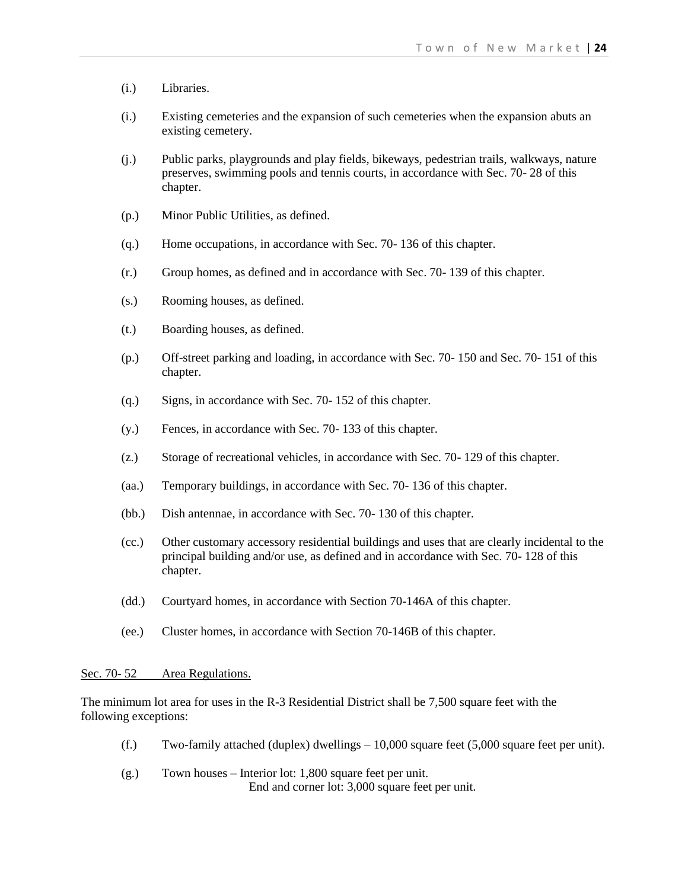- (i.) Libraries.
- (i.) Existing cemeteries and the expansion of such cemeteries when the expansion abuts an existing cemetery.
- (j.) Public parks, playgrounds and play fields, bikeways, pedestrian trails, walkways, nature preserves, swimming pools and tennis courts, in accordance with Sec. 70- 28 of this chapter.
- (p.) Minor Public Utilities, as defined.
- (q.) Home occupations, in accordance with Sec. 70- 136 of this chapter.
- (r.) Group homes, as defined and in accordance with Sec. 70- 139 of this chapter.
- (s.) Rooming houses, as defined.
- (t.) Boarding houses, as defined.
- (p.) Off-street parking and loading, in accordance with Sec. 70- 150 and Sec. 70- 151 of this chapter.
- (q.) Signs, in accordance with Sec. 70- 152 of this chapter.
- (y.) Fences, in accordance with Sec. 70- 133 of this chapter.
- (z.) Storage of recreational vehicles, in accordance with Sec. 70- 129 of this chapter.
- (aa.) Temporary buildings, in accordance with Sec. 70- 136 of this chapter.
- (bb.) Dish antennae, in accordance with Sec. 70- 130 of this chapter.
- (cc.) Other customary accessory residential buildings and uses that are clearly incidental to the principal building and/or use, as defined and in accordance with Sec. 70- 128 of this chapter.
- (dd.) Courtyard homes, in accordance with Section 70-146A of this chapter.
- (ee.) Cluster homes, in accordance with Section 70-146B of this chapter.

# Sec. 70-52 Area Regulations.

The minimum lot area for uses in the R-3 Residential District shall be 7,500 square feet with the following exceptions:

- (f.) Two-family attached (duplex) dwellings  $-10,000$  square feet (5,000 square feet per unit).
- (g.) Town houses Interior lot: 1,800 square feet per unit. End and corner lot: 3,000 square feet per unit.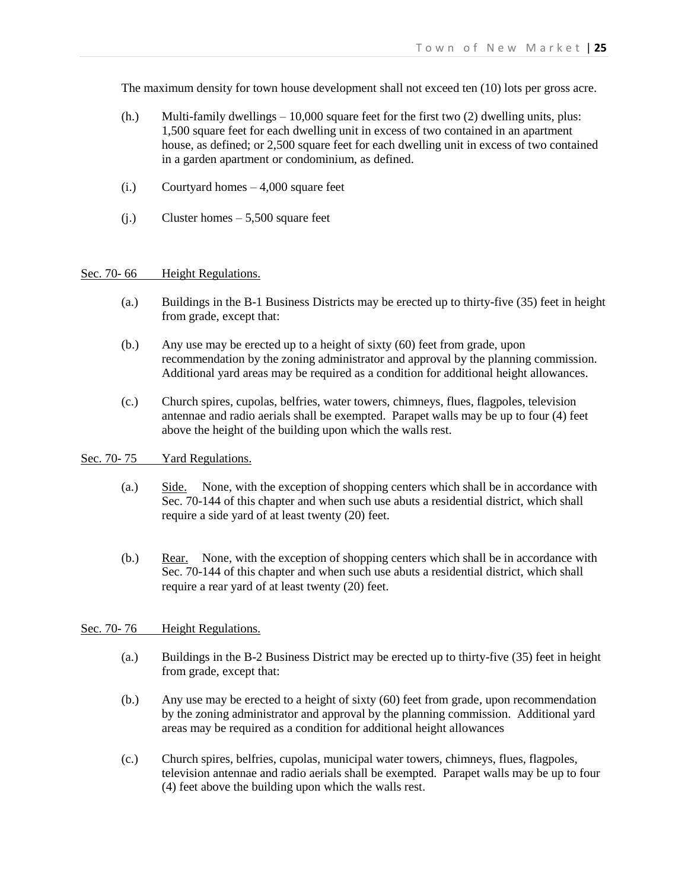The maximum density for town house development shall not exceed ten (10) lots per gross acre.

- $(h.)$  Multi-family dwellings  $-10,000$  square feet for the first two  $(2)$  dwelling units, plus: 1,500 square feet for each dwelling unit in excess of two contained in an apartment house, as defined; or 2,500 square feet for each dwelling unit in excess of two contained in a garden apartment or condominium, as defined.
- (i.) Courtyard homes 4,000 square feet
- (j.) Cluster homes 5,500 square feet

#### Sec. 70-66 Height Regulations.

- (a.) Buildings in the B-1 Business Districts may be erected up to thirty-five (35) feet in height from grade, except that:
- (b.) Any use may be erected up to a height of sixty (60) feet from grade, upon recommendation by the zoning administrator and approval by the planning commission. Additional yard areas may be required as a condition for additional height allowances.
- (c.) Church spires, cupolas, belfries, water towers, chimneys, flues, flagpoles, television antennae and radio aerials shall be exempted. Parapet walls may be up to four (4) feet above the height of the building upon which the walls rest.

## Sec. 70-75 Yard Regulations.

- (a.) Side. None, with the exception of shopping centers which shall be in accordance with Sec. 70-144 of this chapter and when such use abuts a residential district, which shall require a side yard of at least twenty (20) feet.
- (b.) Rear. None, with the exception of shopping centers which shall be in accordance with Sec. 70-144 of this chapter and when such use abuts a residential district, which shall require a rear yard of at least twenty (20) feet.

## Sec. 70-76 Height Regulations.

- (a.) Buildings in the B-2 Business District may be erected up to thirty-five (35) feet in height from grade, except that:
- (b.) Any use may be erected to a height of sixty (60) feet from grade, upon recommendation by the zoning administrator and approval by the planning commission. Additional yard areas may be required as a condition for additional height allowances
- (c.) Church spires, belfries, cupolas, municipal water towers, chimneys, flues, flagpoles, television antennae and radio aerials shall be exempted. Parapet walls may be up to four (4) feet above the building upon which the walls rest.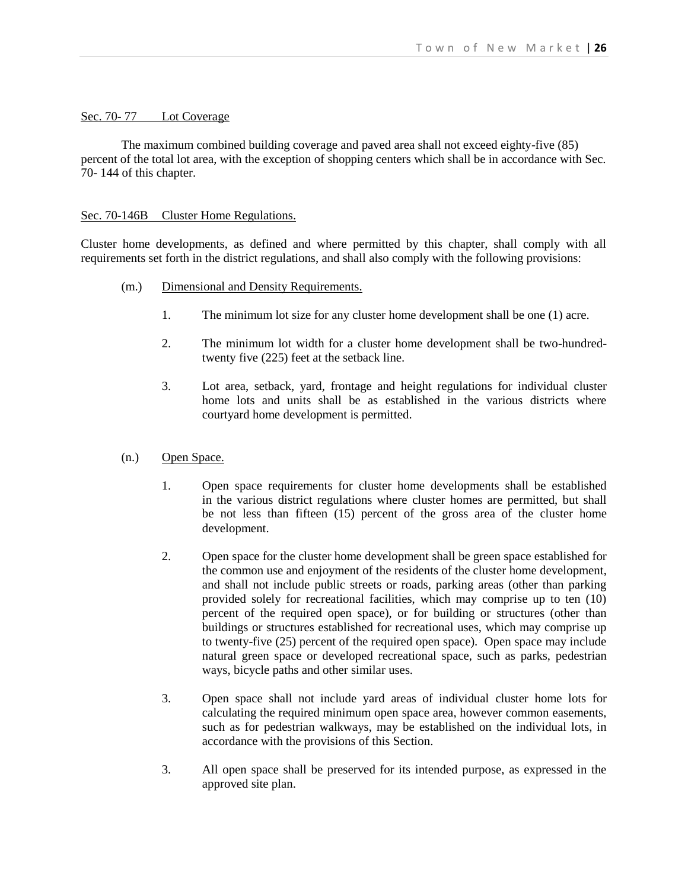### Sec. 70-77 Lot Coverage

The maximum combined building coverage and paved area shall not exceed eighty-five (85) percent of the total lot area, with the exception of shopping centers which shall be in accordance with Sec. 70- 144 of this chapter.

### Sec. 70-146B Cluster Home Regulations.

Cluster home developments, as defined and where permitted by this chapter, shall comply with all requirements set forth in the district regulations, and shall also comply with the following provisions:

- (m.) Dimensional and Density Requirements.
	- 1. The minimum lot size for any cluster home development shall be one (1) acre.
	- 2. The minimum lot width for a cluster home development shall be two-hundredtwenty five (225) feet at the setback line.
	- 3. Lot area, setback, yard, frontage and height regulations for individual cluster home lots and units shall be as established in the various districts where courtyard home development is permitted.
- (n.) Open Space.
	- 1. Open space requirements for cluster home developments shall be established in the various district regulations where cluster homes are permitted, but shall be not less than fifteen (15) percent of the gross area of the cluster home development.
	- 2. Open space for the cluster home development shall be green space established for the common use and enjoyment of the residents of the cluster home development, and shall not include public streets or roads, parking areas (other than parking provided solely for recreational facilities, which may comprise up to ten (10) percent of the required open space), or for building or structures (other than buildings or structures established for recreational uses, which may comprise up to twenty-five (25) percent of the required open space). Open space may include natural green space or developed recreational space, such as parks, pedestrian ways, bicycle paths and other similar uses.
	- 3. Open space shall not include yard areas of individual cluster home lots for calculating the required minimum open space area, however common easements, such as for pedestrian walkways, may be established on the individual lots, in accordance with the provisions of this Section.
	- 3. All open space shall be preserved for its intended purpose, as expressed in the approved site plan.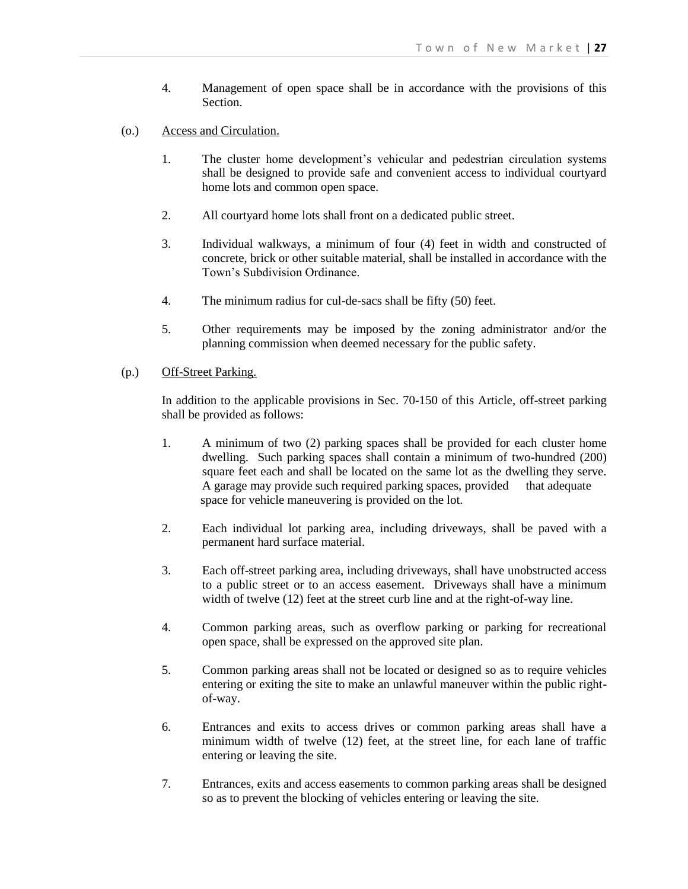- 4. Management of open space shall be in accordance with the provisions of this Section.
- (o.) Access and Circulation.
	- 1. The cluster home development's vehicular and pedestrian circulation systems shall be designed to provide safe and convenient access to individual courtyard home lots and common open space.
	- 2. All courtyard home lots shall front on a dedicated public street.
	- 3. Individual walkways, a minimum of four (4) feet in width and constructed of concrete, brick or other suitable material, shall be installed in accordance with the Town's Subdivision Ordinance.
	- 4. The minimum radius for cul-de-sacs shall be fifty (50) feet.
	- 5. Other requirements may be imposed by the zoning administrator and/or the planning commission when deemed necessary for the public safety.

# (p.) Off-Street Parking.

In addition to the applicable provisions in Sec. 70-150 of this Article, off-street parking shall be provided as follows:

- 1. A minimum of two (2) parking spaces shall be provided for each cluster home dwelling. Such parking spaces shall contain a minimum of two-hundred (200) square feet each and shall be located on the same lot as the dwelling they serve. A garage may provide such required parking spaces, provided that adequate space for vehicle maneuvering is provided on the lot.
- 2. Each individual lot parking area, including driveways, shall be paved with a permanent hard surface material.
- 3. Each off-street parking area, including driveways, shall have unobstructed access to a public street or to an access easement. Driveways shall have a minimum width of twelve (12) feet at the street curb line and at the right-of-way line.
- 4. Common parking areas, such as overflow parking or parking for recreational open space, shall be expressed on the approved site plan.
- 5. Common parking areas shall not be located or designed so as to require vehicles entering or exiting the site to make an unlawful maneuver within the public rightof-way.
- 6. Entrances and exits to access drives or common parking areas shall have a minimum width of twelve (12) feet, at the street line, for each lane of traffic entering or leaving the site.
- 7. Entrances, exits and access easements to common parking areas shall be designed so as to prevent the blocking of vehicles entering or leaving the site.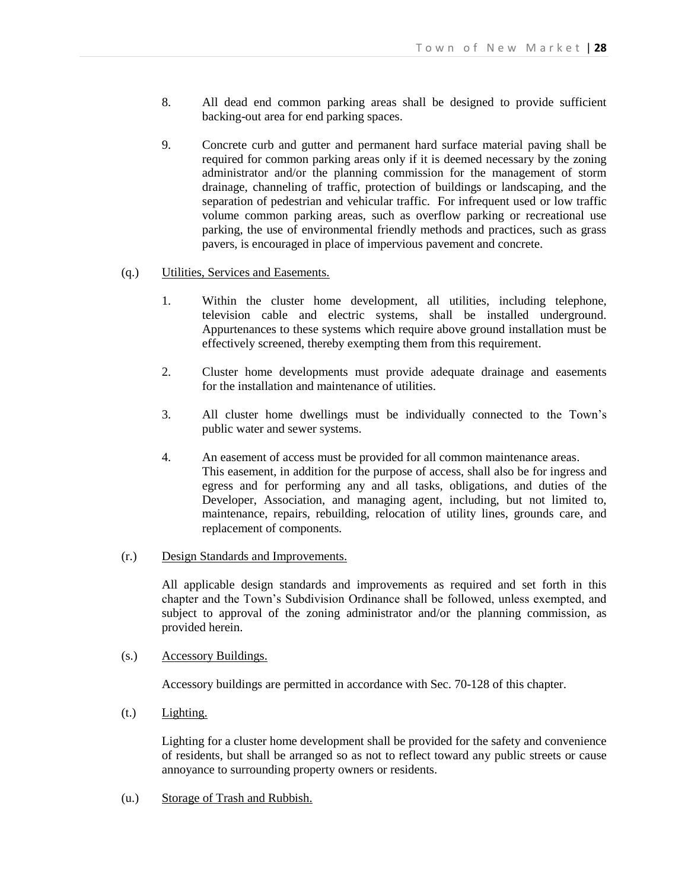- 8. All dead end common parking areas shall be designed to provide sufficient backing-out area for end parking spaces.
- 9. Concrete curb and gutter and permanent hard surface material paving shall be required for common parking areas only if it is deemed necessary by the zoning administrator and/or the planning commission for the management of storm drainage, channeling of traffic, protection of buildings or landscaping, and the separation of pedestrian and vehicular traffic. For infrequent used or low traffic volume common parking areas, such as overflow parking or recreational use parking, the use of environmental friendly methods and practices, such as grass pavers, is encouraged in place of impervious pavement and concrete.

### (q.) Utilities, Services and Easements.

- 1. Within the cluster home development, all utilities, including telephone, television cable and electric systems, shall be installed underground. Appurtenances to these systems which require above ground installation must be effectively screened, thereby exempting them from this requirement.
- 2. Cluster home developments must provide adequate drainage and easements for the installation and maintenance of utilities.
- 3. All cluster home dwellings must be individually connected to the Town's public water and sewer systems.
- 4. An easement of access must be provided for all common maintenance areas. This easement, in addition for the purpose of access, shall also be for ingress and egress and for performing any and all tasks, obligations, and duties of the Developer, Association, and managing agent, including, but not limited to, maintenance, repairs, rebuilding, relocation of utility lines, grounds care, and replacement of components.
- (r.) Design Standards and Improvements.

All applicable design standards and improvements as required and set forth in this chapter and the Town's Subdivision Ordinance shall be followed, unless exempted, and subject to approval of the zoning administrator and/or the planning commission, as provided herein.

### (s.) Accessory Buildings.

Accessory buildings are permitted in accordance with Sec. 70-128 of this chapter.

(t.) Lighting.

Lighting for a cluster home development shall be provided for the safety and convenience of residents, but shall be arranged so as not to reflect toward any public streets or cause annoyance to surrounding property owners or residents.

(u.) Storage of Trash and Rubbish.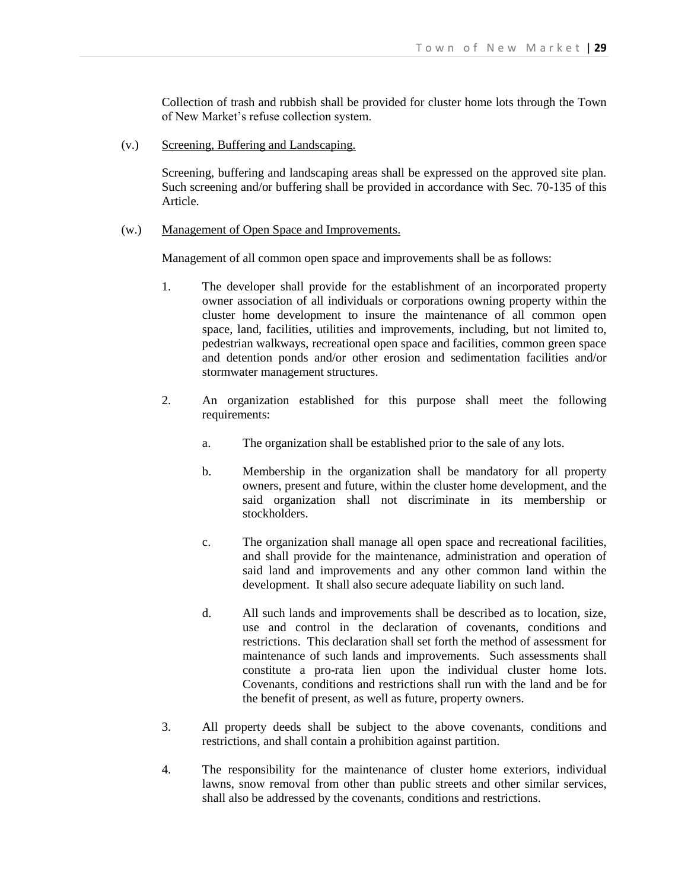Collection of trash and rubbish shall be provided for cluster home lots through the Town of New Market's refuse collection system.

(v.) Screening, Buffering and Landscaping.

Screening, buffering and landscaping areas shall be expressed on the approved site plan. Such screening and/or buffering shall be provided in accordance with Sec. 70-135 of this Article.

#### (w.) Management of Open Space and Improvements.

Management of all common open space and improvements shall be as follows:

- 1. The developer shall provide for the establishment of an incorporated property owner association of all individuals or corporations owning property within the cluster home development to insure the maintenance of all common open space, land, facilities, utilities and improvements, including, but not limited to, pedestrian walkways, recreational open space and facilities, common green space and detention ponds and/or other erosion and sedimentation facilities and/or stormwater management structures.
- 2. An organization established for this purpose shall meet the following requirements:
	- a. The organization shall be established prior to the sale of any lots.
	- b. Membership in the organization shall be mandatory for all property owners, present and future, within the cluster home development, and the said organization shall not discriminate in its membership or stockholders.
	- c. The organization shall manage all open space and recreational facilities, and shall provide for the maintenance, administration and operation of said land and improvements and any other common land within the development. It shall also secure adequate liability on such land.
	- d. All such lands and improvements shall be described as to location, size, use and control in the declaration of covenants, conditions and restrictions. This declaration shall set forth the method of assessment for maintenance of such lands and improvements. Such assessments shall constitute a pro-rata lien upon the individual cluster home lots. Covenants, conditions and restrictions shall run with the land and be for the benefit of present, as well as future, property owners.
- 3. All property deeds shall be subject to the above covenants, conditions and restrictions, and shall contain a prohibition against partition.
- 4. The responsibility for the maintenance of cluster home exteriors, individual lawns, snow removal from other than public streets and other similar services, shall also be addressed by the covenants, conditions and restrictions.